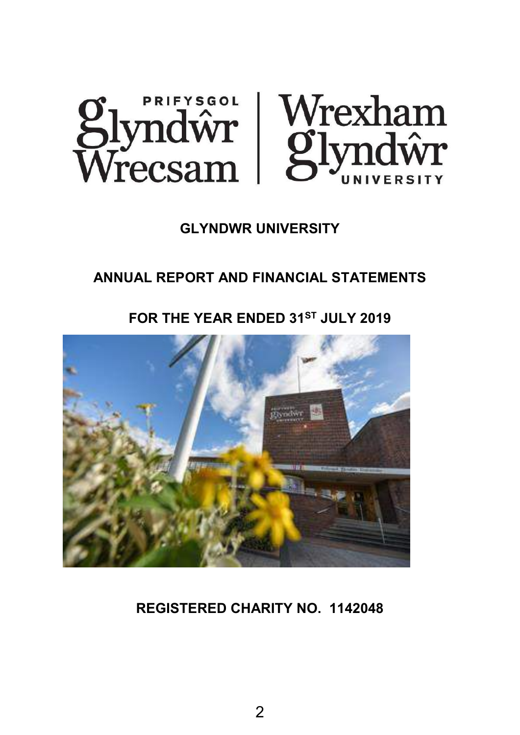

## **GLYNDWR UNIVERSITY**

# **ANNUAL REPORT AND FINANCIAL STATEMENTS**

# **FOR THE YEAR ENDED 31 ST JULY 2019**



# **REGISTERED CHARITY NO. 1142048**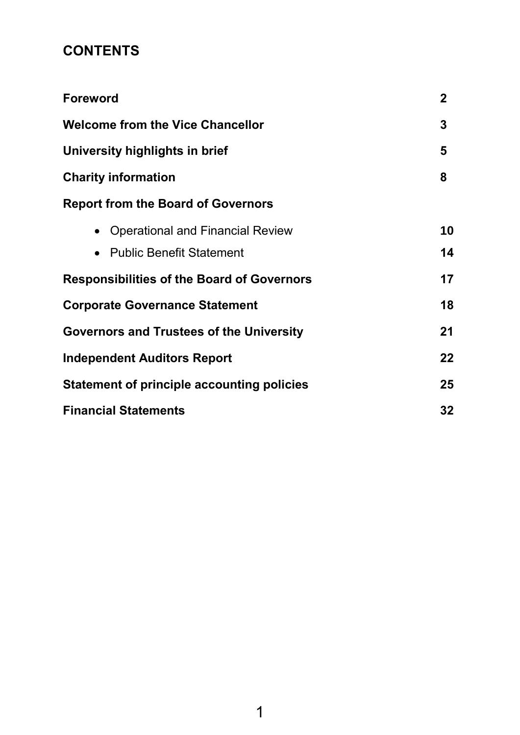# **CONTENTS**

| <b>Foreword</b>                                   | $\mathbf 2$ |
|---------------------------------------------------|-------------|
| <b>Welcome from the Vice Chancellor</b>           | 3           |
| University highlights in brief                    | 5           |
| <b>Charity information</b>                        | 8           |
| <b>Report from the Board of Governors</b>         |             |
| <b>Operational and Financial Review</b>           | 10          |
| <b>Public Benefit Statement</b>                   | 14          |
| <b>Responsibilities of the Board of Governors</b> | 17          |
| <b>Corporate Governance Statement</b>             | 18          |
| Governors and Trustees of the University          | 21          |
| <b>Independent Auditors Report</b>                | 22          |
| <b>Statement of principle accounting policies</b> | 25          |
| <b>Financial Statements</b>                       | 32          |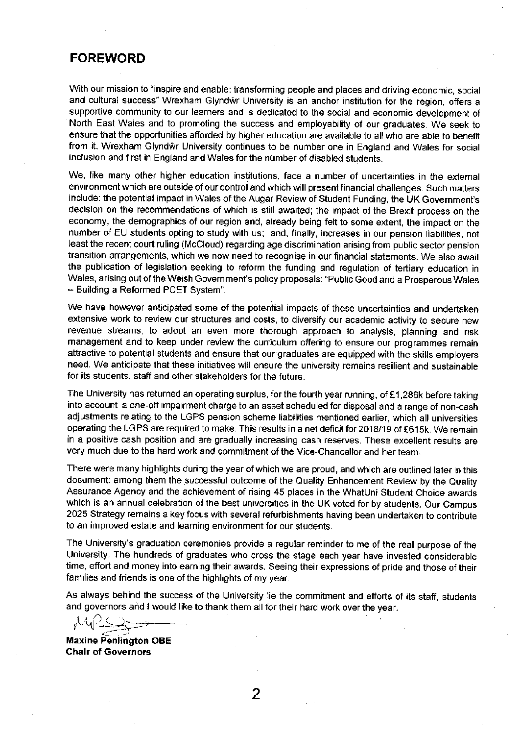## **FOREWORD**

With our mission to "inspire and enable: transforming people and places and driving economic, social and cultural success" Wrexham Glyndŵr University is an anchor institution for the region, offers a supportive community to our learners and is dedicated to the social and economic development of North East Wales and to promoting the success and employability of our graduates. We seek to ensure that the opportunities afforded by higher education are available to all who are able to benefit from it. Wrexham Glyndŵr University continues to be number one in England and Wales for social inclusion and first in England and Wales for the number of disabled students.

We, like many other higher education institutions, face a number of uncertainties in the external environment which are outside of our control and which will present financial challenges. Such matters include: the potential impact in Wales of the Augar Review of Student Funding, the UK Government's decision on the recommendations of which is still awaited; the impact of the Brexit process on the economy, the demographics of our region and, already being felt to some extent, the impact on the number of EU students opting to study with us; and, finally, increases in our pension liabilities, not least the recent court ruling (McCloud) regarding age discrimination arising from public sector pension transition arrangements, which we now need to recognise in our financial statements. We also await the publication of legislation seeking to reform the funding and regulation of tertiary education in Wales, arising out of the Welsh Government's policy proposals: "Public Good and a Prosperous Wales - Building a Reformed PCET System".

We have however anticipated some of the potential impacts of these uncertainties and undertaken extensive work to review our structures and costs, to diversify our academic activity to secure new revenue streams, to adopt an even more thorough approach to analysis, planning and risk management and to keep under review the curriculum offering to ensure our programmes remain attractive to potential students and ensure that our graduates are equipped with the skills employers need. We anticipate that these initiatives will ensure the university remains resilient and sustainable for its students, staff and other stakeholders for the future.

The University has returned an operating surplus, for the fourth year running, of £1,286k before taking into account a one-off impairment charge to an asset scheduled for disposal and a range of non-cash adjustments relating to the LGPS pension scheme liabilities mentioned earlier, which all universities operating the LGPS are required to make. This results in a net deficit for 2018/19 of £615k. We remain in a positive cash position and are gradually increasing cash reserves. These excellent results are very much due to the hard work and commitment of the Vice-Chancellor and her team.

There were many highlights during the year of which we are proud, and which are outlined later in this document; among them the successful outcome of the Quality Enhancement Review by the Quality Assurance Agency and the achievement of rising 45 places in the WhatUni Student Choice awards which is an annual celebration of the best universities in the UK voted for by students. Our Campus 2025 Strategy remains a key focus with several refurbishments having been undertaken to contribute to an improved estate and learning environment for our students.

The University's graduation ceremonies provide a regular reminder to me of the real purpose of the University. The hundreds of graduates who cross the stage each year have invested considerable time, effort and money into earning their awards. Seeing their expressions of pride and those of their families and friends is one of the highlights of my year.

As always behind the success of the University lie the commitment and efforts of its staff, students and governors and I would like to thank them all for their hard work over the year.

2

**Maxine Penlington OBE Chair of Governors**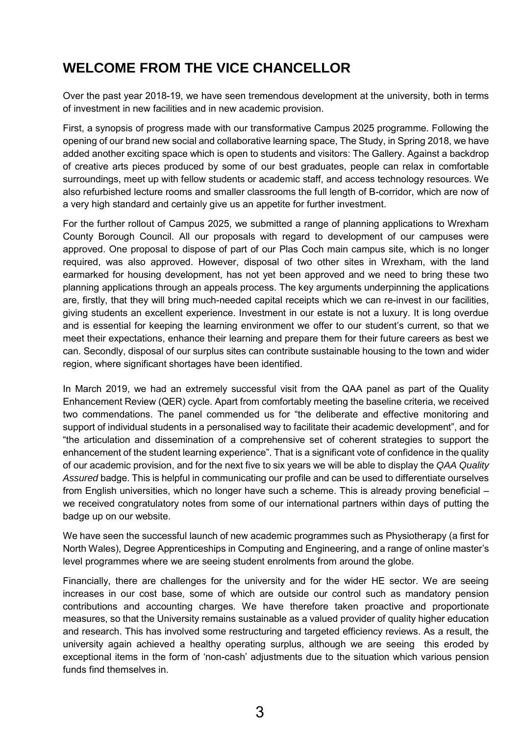# **WELCOME FROM THE VICE CHANCELLOR**

Over the past year 2018-19, we have seen tremendous development at the university, both in terms of investment in new facilities and in new academic provision.

First, a synopsis of progress made with our transformative Campus 2025 programme. Following the opening of our brand new social and collaborative learning space, The Study, in Spring 2018, we have added another exciting space which is open to students and visitors: The Gallery. Against a backdrop of creative arts pieces produced by some of our best graduates, people can relax in comfortable surroundings, meet up with fellow students or academic staff, and access technology resources. We also refurbished lecture rooms and smaller classrooms the full length of B-corridor, which are now of a very high standard and certainly give us an appetite for further investment.

For the further rollout of Campus 2025, we submitted a range of planning applications to Wrexham County Borough Council. All our proposals with regard to development of our campuses were approved. One proposal to dispose of part of our Plas Coch main campus site, which is no longer required, was also approved. However, disposal of two other sites in Wrexham, with the land earmarked for housing development, has not yet been approved and we need to bring these two planning applications through an appeals process. The key arguments underpinning the applications are, firstly, that they will bring much-needed capital receipts which we can re-invest in our facilities, giving students an excellent experience. Investment in our estate is not a luxury. It is long overdue and is essential for keeping the learning environment we offer to our student's current, so that we meet their expectations, enhance their learning and prepare them for their future careers as best we can. Secondly, disposal of our surplus sites can contribute sustainable housing to the town and wider region, where significant shortages have been identified.

In March 2019, we had an extremely successful visit from the QAA panel as part of the Quality Enhancement Review (QER) cycle. Apart from comfortably meeting the baseline criteria, we received two commendations. The panel commended us for "the deliberate and effective monitoring and support of individual students in a personalised way to facilitate their academic development", and for "the articulation and dissemination of a comprehensive set of coherent strategies to support the enhancement of the student learning experience". That is a significant vote of confidence in the quality of our academic provision, and for the next five to six years we will be able to display the *QAA Quality Assured* badge. This is helpful in communicating our profile and can be used to differentiate ourselves from English universities, which no longer have such a scheme. This is already proving beneficial – we received congratulatory notes from some of our international partners within days of putting the badge up on our website.

We have seen the successful launch of new academic programmes such as Physiotherapy (a first for North Wales), Degree Apprenticeships in Computing and Engineering, and a range of online master's level programmes where we are seeing student enrolments from around the globe.

Financially, there are challenges for the university and for the wider HE sector. We are seeing increases in our cost base, some of which are outside our control such as mandatory pension contributions and accounting charges. We have therefore taken proactive and proportionate measures, so that the University remains sustainable as a valued provider of quality higher education and research. This has involved some restructuring and targeted efficiency reviews. As a result, the university again achieved a healthy operating surplus, although we are seeing this eroded by exceptional items in the form of 'non-cash' adjustments due to the situation which various pension funds find themselves in.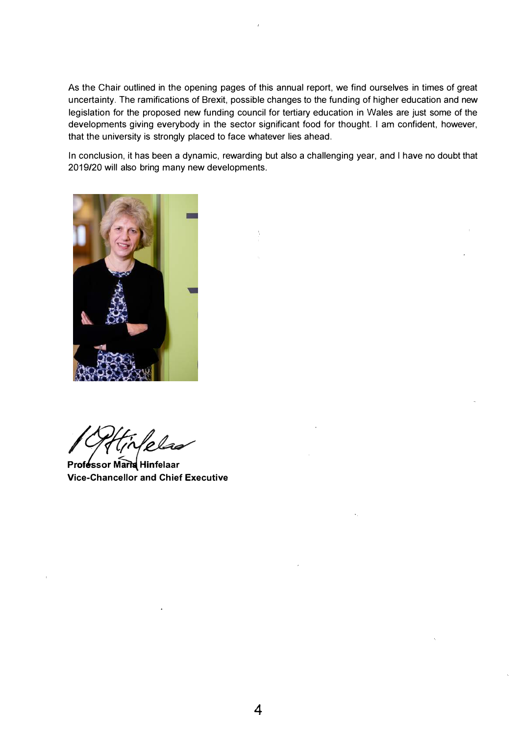As the Chair outlined in the opening pages of this annual report, we find ourselves in times of great uncertainty. The ramifications of Brexit, possible changes to the funding of higher education and new legislation for the proposed new funding council for tertiary education in Wales are just some of the developments giving everybody in the sector significant food for thought. I am confident, however, that the university is strongly placed to face whatever lies ahead.

In conclusion, it has been a dynamic, rewarding but also a challenging year, and I have no doubt that 2019/20 will also bring many new developments.



**completed**<br>Professor Maria Hinfelaar<br>Vice-Chancellor and Chief Executive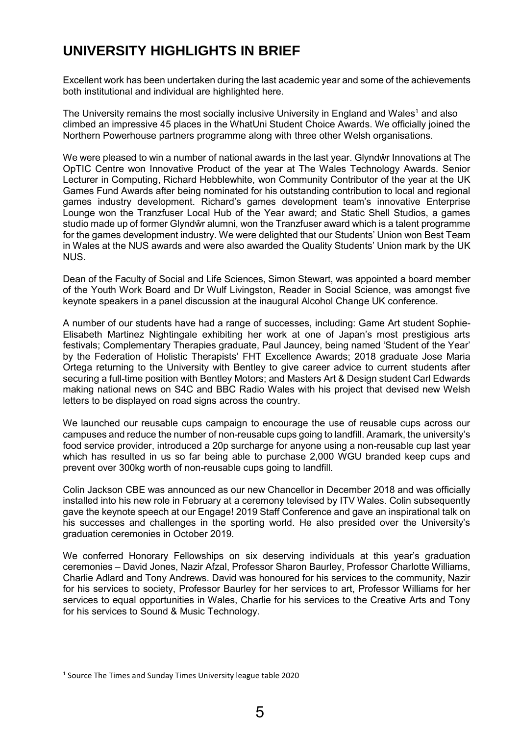# **UNIVERSITY HIGHLIGHTS IN BRIEF**

Excellent work has been undertaken during the last academic year and some of the achievements both institutional and individual are highlighted here.

The University remains the most socially inclusive University in England and Wales<sup>1</sup> and also climbed an impressive 45 places in the WhatUni Student Choice Awards. We officially joined the Northern Powerhouse partners programme along with three other Welsh organisations.

We were pleased to win a number of national awards in the last year. Glyndŵr Innovations at The OpTIC Centre won Innovative Product of the year at The Wales Technology Awards. Senior Lecturer in Computing, Richard Hebblewhite, won Community Contributor of the year at the UK Games Fund Awards after being nominated for his outstanding contribution to local and regional games industry development. Richard's games development team's innovative Enterprise Lounge won the Tranzfuser Local Hub of the Year award; and Static Shell Studios, a games studio made up of former Glyndŵr alumni, won the Tranzfuser award which is a talent programme for the games development industry. We were delighted that our Students' Union won Best Team in Wales at the NUS awards and were also awarded the Quality Students' Union mark by the UK NUS.

Dean of the Faculty of Social and Life Sciences, Simon Stewart, was appointed a board member of the Youth Work Board and Dr Wulf Livingston, Reader in Social Science, was amongst five keynote speakers in a panel discussion at the inaugural Alcohol Change UK conference.

A number of our students have had a range of successes, including: Game Art student Sophie-Elisabeth Martinez Nightingale exhibiting her work at one of Japan's most prestigious arts festivals; Complementary Therapies graduate, Paul Jauncey, being named 'Student of the Year' by the Federation of Holistic Therapists' FHT Excellence Awards; 2018 graduate Jose Maria Ortega returning to the University with Bentley to give career advice to current students after securing a full-time position with Bentley Motors; and Masters Art & Design student Carl Edwards making national news on S4C and BBC Radio Wales with his project that devised new Welsh letters to be displayed on road signs across the country.

We launched our reusable cups campaign to encourage the use of reusable cups across our campuses and reduce the number of non-reusable cups going to landfill. Aramark, the university's food service provider, introduced a 20p surcharge for anyone using a non-reusable cup last year which has resulted in us so far being able to purchase 2,000 WGU branded keep cups and prevent over 300kg worth of non-reusable cups going to landfill.

Colin Jackson CBE was announced as our new Chancellor in December 2018 and was officially installed into his new role in February at a ceremony televised by ITV Wales. Colin subsequently gave the keynote speech at our Engage! 2019 Staff Conference and gave an inspirational talk on his successes and challenges in the sporting world. He also presided over the University's graduation ceremonies in October 2019.

We conferred Honorary Fellowships on six deserving individuals at this year's graduation ceremonies – David Jones, Nazir Afzal, Professor Sharon Baurley, Professor Charlotte Williams, Charlie Adlard and Tony Andrews. David was honoured for his services to the community, Nazir for his services to society, Professor Baurley for her services to art, Professor Williams for her services to equal opportunities in Wales, Charlie for his services to the Creative Arts and Tony for his services to Sound & Music Technology.

<sup>&</sup>lt;sup>1</sup> Source The Times and Sunday Times University league table 2020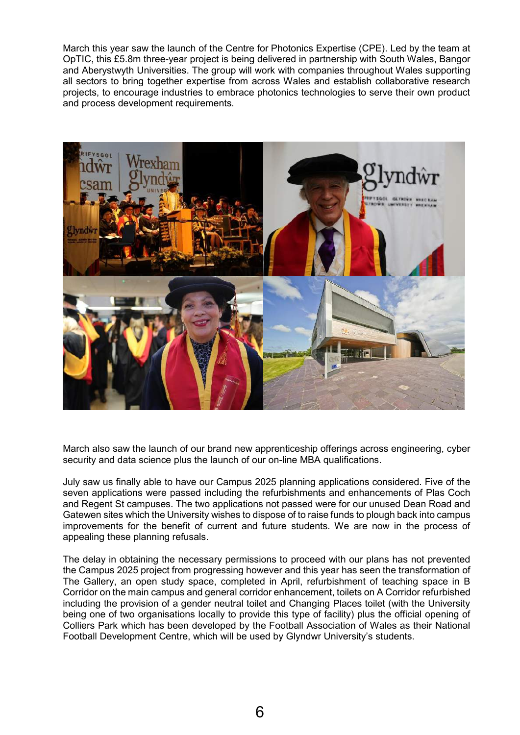March this year saw the launch of the Centre for Photonics Expertise (CPE). Led by the team at OpTIC, this £5.8m three-year project is being delivered in partnership with South Wales, Bangor and Aberystwyth Universities. The group will work with companies throughout Wales supporting all sectors to bring together expertise from across Wales and establish collaborative research projects, to encourage industries to embrace photonics technologies to serve their own product and process development requirements.



March also saw the launch of our brand new apprenticeship offerings across engineering, cyber security and data science plus the launch of our on-line MBA qualifications.

July saw us finally able to have our Campus 2025 planning applications considered. Five of the seven applications were passed including the refurbishments and enhancements of Plas Coch and Regent St campuses. The two applications not passed were for our unused Dean Road and Gatewen sites which the University wishes to dispose of to raise funds to plough back into campus improvements for the benefit of current and future students. We are now in the process of appealing these planning refusals.

The delay in obtaining the necessary permissions to proceed with our plans has not prevented the Campus 2025 project from progressing however and this year has seen the transformation of The Gallery, an open study space, completed in April, refurbishment of teaching space in B Corridor on the main campus and general corridor enhancement, toilets on A Corridor refurbished including the provision of a gender neutral toilet and Changing Places toilet (with the University being one of two organisations locally to provide this type of facility) plus the official opening of Colliers Park which has been developed by the Football Association of Wales as their National Football Development Centre, which will be used by Glyndwr University's students.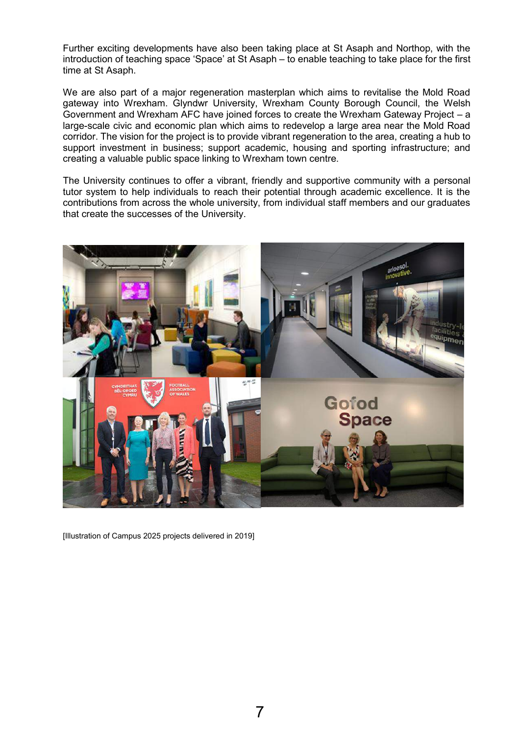Further exciting developments have also been taking place at St Asaph and Northop, with the introduction of teaching space 'Space' at St Asaph – to enable teaching to take place for the first time at St Asaph.

We are also part of a major regeneration masterplan which aims to revitalise the Mold Road gateway into Wrexham. Glyndwr University, Wrexham County Borough Council, the Welsh Government and Wrexham AFC have joined forces to create the Wrexham Gateway Project – a large-scale civic and economic plan which aims to redevelop a large area near the Mold Road corridor. The vision for the project is to provide vibrant regeneration to the area, creating a hub to support investment in business; support academic, housing and sporting infrastructure; and creating a valuable public space linking to Wrexham town centre.

The University continues to offer a vibrant, friendly and supportive community with a personal tutor system to help individuals to reach their potential through academic excellence. It is the contributions from across the whole university, from individual staff members and our graduates that create the successes of the University.



[Illustration of Campus 2025 projects delivered in 2019]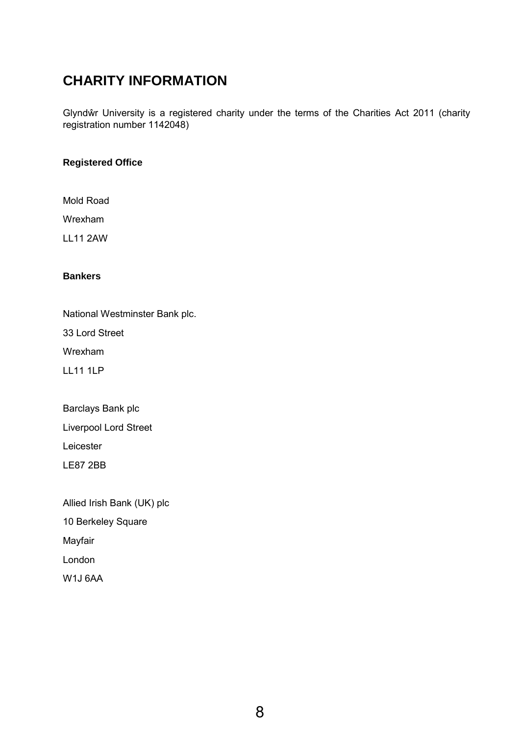# **CHARITY INFORMATION**

Glyndŵr University is a registered charity under the terms of the Charities Act 2011 (charity registration number 1142048)

## **Registered Office**

Mold Road

Wrexham

LL11 2AW

## **Bankers**

National Westminster Bank plc. 33 Lord Street Wrexham LL11 1LP

Barclays Bank plc Liverpool Lord Street Leicester LE87 2BB

Allied Irish Bank (UK) plc 10 Berkeley Square Mayfair London W1J 6AA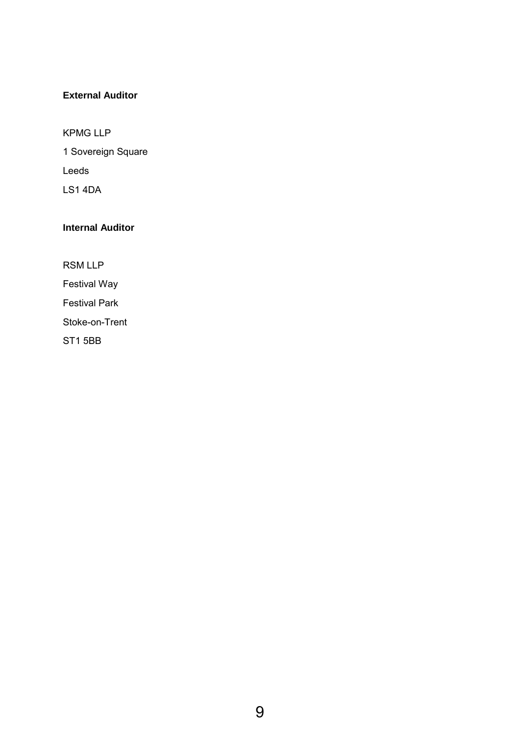## **External Auditor**

KPMG LLP 1 Sovereign Square Leeds LS1 4DA

## **Internal Auditor**

RSM LLP Festival Way Festival Park Stoke-on-Trent ST1 5BB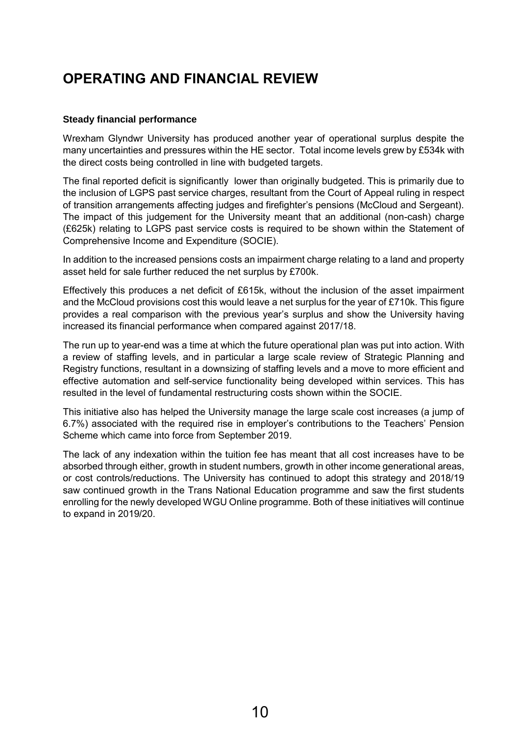# **OPERATING AND FINANCIAL REVIEW**

## **Steady financial performance**

Wrexham Glyndwr University has produced another year of operational surplus despite the many uncertainties and pressures within the HE sector. Total income levels grew by £534k with the direct costs being controlled in line with budgeted targets.

The final reported deficit is significantly lower than originally budgeted. This is primarily due to the inclusion of LGPS past service charges, resultant from the Court of Appeal ruling in respect of transition arrangements affecting judges and firefighter's pensions (McCloud and Sergeant). The impact of this judgement for the University meant that an additional (non-cash) charge (£625k) relating to LGPS past service costs is required to be shown within the Statement of Comprehensive Income and Expenditure (SOCIE).

In addition to the increased pensions costs an impairment charge relating to a land and property asset held for sale further reduced the net surplus by £700k.

Effectively this produces a net deficit of £615k, without the inclusion of the asset impairment and the McCloud provisions cost this would leave a net surplus for the year of £710k. This figure provides a real comparison with the previous year's surplus and show the University having increased its financial performance when compared against 2017/18.

The run up to year-end was a time at which the future operational plan was put into action. With a review of staffing levels, and in particular a large scale review of Strategic Planning and Registry functions, resultant in a downsizing of staffing levels and a move to more efficient and effective automation and self-service functionality being developed within services. This has resulted in the level of fundamental restructuring costs shown within the SOCIE.

This initiative also has helped the University manage the large scale cost increases (a jump of 6.7%) associated with the required rise in employer's contributions to the Teachers' Pension Scheme which came into force from September 2019.

The lack of any indexation within the tuition fee has meant that all cost increases have to be absorbed through either, growth in student numbers, growth in other income generational areas, or cost controls/reductions. The University has continued to adopt this strategy and 2018/19 saw continued growth in the Trans National Education programme and saw the first students enrolling for the newly developed WGU Online programme. Both of these initiatives will continue to expand in 2019/20.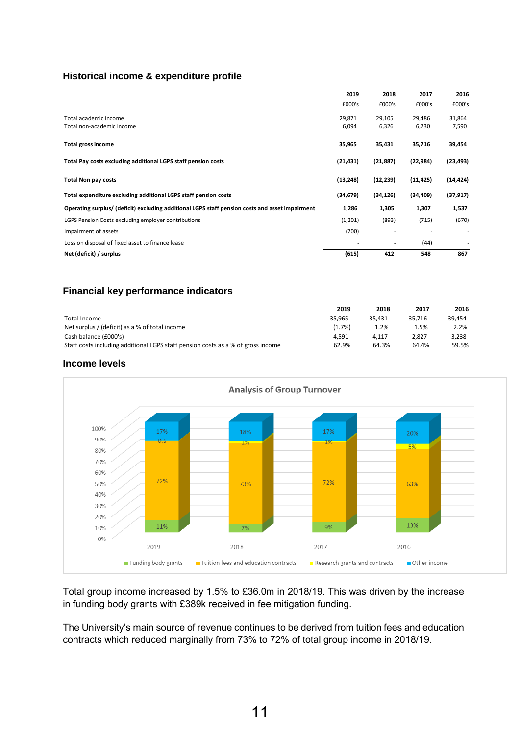## **Historical income & expenditure profile**

|                                                                                                 | 2019      | 2018      | 2017      | 2016      |
|-------------------------------------------------------------------------------------------------|-----------|-----------|-----------|-----------|
|                                                                                                 | £000's    | £000's    | £000's    | £000's    |
| Total academic income                                                                           | 29,871    | 29,105    | 29,486    | 31,864    |
| Total non-academic income                                                                       | 6,094     | 6,326     | 6,230     | 7,590     |
| <b>Total gross income</b>                                                                       | 35,965    | 35,431    | 35,716    | 39,454    |
| Total Pay costs excluding additional LGPS staff pension costs                                   | (21, 431) | (21, 887) | (22, 984) | (23, 493) |
| <b>Total Non pay costs</b>                                                                      | (13, 248) | (12, 239) | (11, 425) | (14, 424) |
| Total expenditure excluding additional LGPS staff pension costs                                 | (34,679)  | (34, 126) | (34, 409) | (37, 917) |
| Operating surplus/ (deficit) excluding additional LGPS staff pension costs and asset impairment | 1,286     | 1,305     | 1,307     | 1,537     |
| LGPS Pension Costs excluding employer contributions                                             | (1,201)   | (893)     | (715)     | (670)     |
| Impairment of assets                                                                            | (700)     |           |           |           |
| Loss on disposal of fixed asset to finance lease                                                |           |           | (44)      |           |
| Net (deficit) / surplus                                                                         | (615)     | 412       | 548       | 867       |

## **Financial key performance indicators**

|        | <b>Financial key performance indicators</b> |        |        |  |  |  |  |  |
|--------|---------------------------------------------|--------|--------|--|--|--|--|--|
| 2019   | 2018                                        | 2017   | 2016   |  |  |  |  |  |
| 35,965 | 35,431                                      | 35,716 | 39,454 |  |  |  |  |  |
| (1.7%) | 1.2%                                        | 1.5%   | 2.2%   |  |  |  |  |  |
| 4,591  | 4,117                                       | 2,827  | 3,238  |  |  |  |  |  |
| 62.9%  | 64.3%                                       | 64.4%  | 59.5%  |  |  |  |  |  |
|        |                                             |        |        |  |  |  |  |  |

## **Income levels**



Total group income increased by 1.5% to £36.0m in 2018/19. This was driven by the increase in funding body grants with £389k received in fee mitigation funding.

The University's main source of revenue continues to be derived from tuition fees and education contracts which reduced marginally from 73% to 72% of total group income in 2018/19.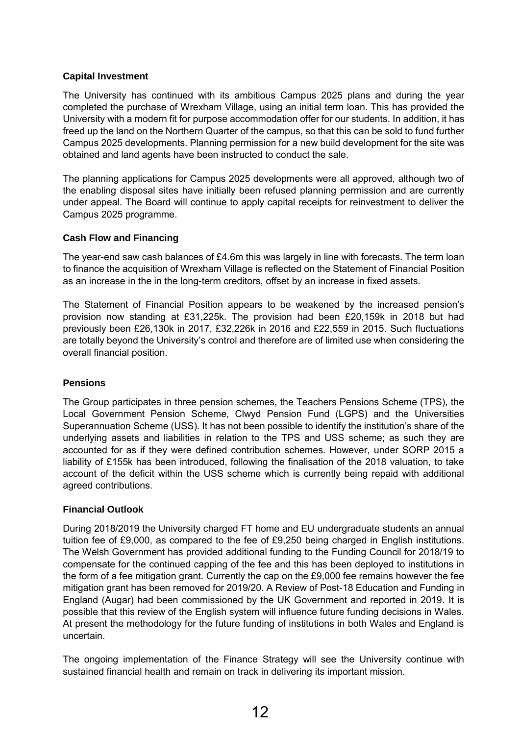## **Capital Investment**

The University has continued with its ambitious Campus 2025 plans and during the year completed the purchase of Wrexham Village, using an initial term loan. This has provided the University with a modern fit for purpose accommodation offer for our students. In addition, it has freed up the land on the Northern Quarter of the campus, so that this can be sold to fund further Campus 2025 developments. Planning permission for a new build development for the site was obtained and land agents have been instructed to conduct the sale.

The planning applications for Campus 2025 developments were all approved, although two of the enabling disposal sites have initially been refused planning permission and are currently under appeal. The Board will continue to apply capital receipts for reinvestment to deliver the Campus 2025 programme.

## **Cash Flow and Financing**

The year-end saw cash balances of £4.6m this was largely in line with forecasts. The term loan to finance the acquisition of Wrexham Village is reflected on the Statement of Financial Position as an increase in the in the long-term creditors, offset by an increase in fixed assets.

The Statement of Financial Position appears to be weakened by the increased pension's provision now standing at £31,225k. The provision had been £20,159k in 2018 but had previously been £26,130k in 2017, £32,226k in 2016 and £22,559 in 2015. Such fluctuations are totally beyond the University's control and therefore are of limited use when considering the overall financial position.

## **Pensions**

The Group participates in three pension schemes, the Teachers Pensions Scheme (TPS), the Local Government Pension Scheme, Clwyd Pension Fund (LGPS) and the Universities Superannuation Scheme (USS). It has not been possible to identify the institution's share of the underlying assets and liabilities in relation to the TPS and USS scheme; as such they are accounted for as if they were defined contribution schemes. However, under SORP 2015 a liability of £155k has been introduced, following the finalisation of the 2018 valuation, to take account of the deficit within the USS scheme which is currently being repaid with additional agreed contributions.

## **Financial Outlook**

During 2018/2019 the University charged FT home and EU undergraduate students an annual tuition fee of £9,000, as compared to the fee of £9,250 being charged in English institutions. The Welsh Government has provided additional funding to the Funding Council for 2018/19 to compensate for the continued capping of the fee and this has been deployed to institutions in the form of a fee mitigation grant. Currently the cap on the £9,000 fee remains however the fee mitigation grant has been removed for 2019/20. A Review of Post-18 Education and Funding in England (Augar) had been commissioned by the UK Government and reported in 2019. It is possible that this review of the English system will influence future funding decisions in Wales. At present the methodology for the future funding of institutions in both Wales and England is uncertain.

The ongoing implementation of the Finance Strategy will see the University continue with sustained financial health and remain on track in delivering its important mission.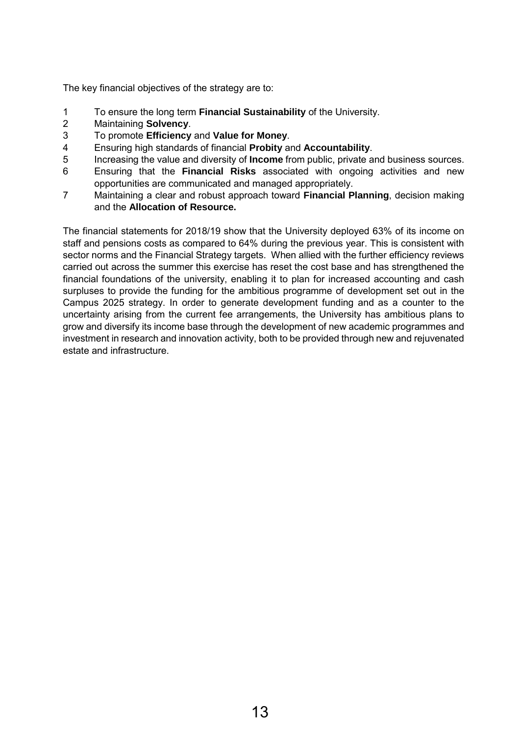The key financial objectives of the strategy are to:

- 1 To ensure the long term **Financial Sustainability** of the University.
- 2 Maintaining **Solvency**.
- 3 To promote **Efficiency** and **Value for Money**.
- 4 Ensuring high standards of financial **Probity** and **Accountability**.
- 5 Increasing the value and diversity of **Income** from public, private and business sources.
- 6 Ensuring that the **Financial Risks** associated with ongoing activities and new opportunities are communicated and managed appropriately.
- 7 Maintaining a clear and robust approach toward **Financial Planning**, decision making and the **Allocation of Resource.**

The financial statements for 2018/19 show that the University deployed 63% of its income on staff and pensions costs as compared to 64% during the previous year. This is consistent with sector norms and the Financial Strategy targets. When allied with the further efficiency reviews carried out across the summer this exercise has reset the cost base and has strengthened the financial foundations of the university, enabling it to plan for increased accounting and cash surpluses to provide the funding for the ambitious programme of development set out in the Campus 2025 strategy. In order to generate development funding and as a counter to the uncertainty arising from the current fee arrangements, the University has ambitious plans to grow and diversify its income base through the development of new academic programmes and investment in research and innovation activity, both to be provided through new and rejuvenated estate and infrastructure.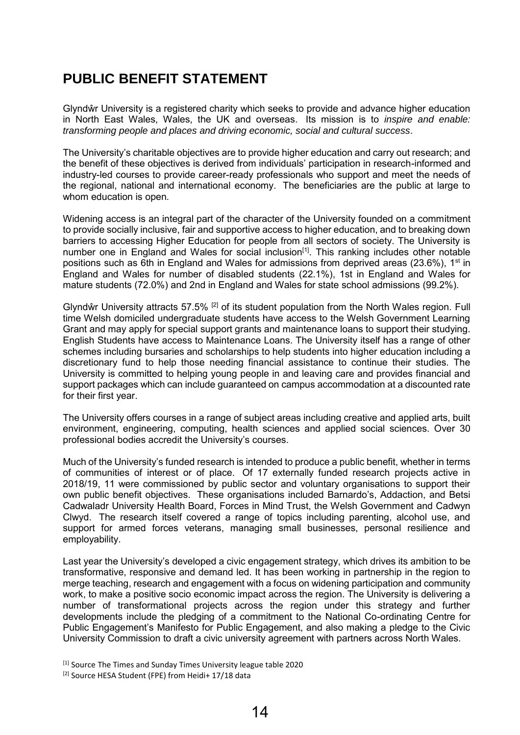# **PUBLIC BENEFIT STATEMENT**

Glyndŵr University is a registered charity which seeks to provide and advance higher education in North East Wales, Wales, the UK and overseas. Its mission is to *inspire and enable: transforming people and places and driving economic, social and cultural success*.

The University's charitable objectives are to provide higher education and carry out research; and the benefit of these objectives is derived from individuals' participation in research-informed and industry-led courses to provide career-ready professionals who support and meet the needs of the regional, national and international economy. The beneficiaries are the public at large to whom education is open.

Widening access is an integral part of the character of the University founded on a commitment to provide socially inclusive, fair and supportive access to higher education, and to breaking down barriers to accessing Higher Education for people from all sectors of society. The University is number one in England and Wales for social inclusion<sup>[1]</sup>. This ranking includes other notable positions such as 6th in England and Wales for admissions from deprived areas (23.6%), 1<sup>st</sup> in England and Wales for number of disabled students (22.1%), 1st in England and Wales for mature students (72.0%) and 2nd in England and Wales for state school admissions (99.2%).

Glyndŵr University attracts 57.5% [2] of its student population from the North Wales region. Full time Welsh domiciled undergraduate students have access to the Welsh Government Learning Grant and may apply for special support grants and maintenance loans to support their studying. English Students have access to Maintenance Loans. The University itself has a range of other schemes including bursaries and scholarships to help students into higher education including a discretionary fund to help those needing financial assistance to continue their studies. The University is committed to helping young people in and leaving care and provides financial and support packages which can include guaranteed on campus accommodation at a discounted rate for their first year.

The University offers courses in a range of subject areas including creative and applied arts, built environment, engineering, computing, health sciences and applied social sciences. Over 30 professional bodies accredit the University's courses.

Much of the University's funded research is intended to produce a public benefit, whether in terms of communities of interest or of place. Of 17 externally funded research projects active in 2018/19, 11 were commissioned by public sector and voluntary organisations to support their own public benefit objectives. These organisations included Barnardo's, Addaction, and Betsi Cadwaladr University Health Board, Forces in Mind Trust, the Welsh Government and Cadwyn Clwyd. The research itself covered a range of topics including parenting, alcohol use, and support for armed forces veterans, managing small businesses, personal resilience and employability.

Last year the University's developed a civic engagement strategy, which drives its ambition to be transformative, responsive and demand led. It has been working in partnership in the region to merge teaching, research and engagement with a focus on widening participation and community work, to make a positive socio economic impact across the region. The University is delivering a number of transformational projects across the region under this strategy and further developments include the pledging of a commitment to the National Co-ordinating Centre for Public Engagement's Manifesto for Public Engagement, and also making a pledge to the Civic University Commission to draft a civic university agreement with partners across North Wales.

<sup>[1]</sup> Source The Times and Sunday Times University league table 2020

<sup>[2]</sup> Source HESA Student (FPE) from Heidi+ 17/18 data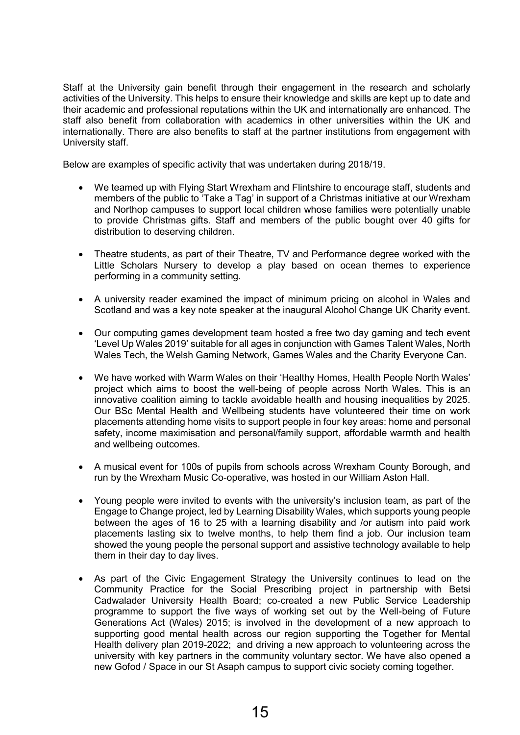Staff at the University gain benefit through their engagement in the research and scholarly activities of the University. This helps to ensure their knowledge and skills are kept up to date and their academic and professional reputations within the UK and internationally are enhanced. The staff also benefit from collaboration with academics in other universities within the UK and internationally. There are also benefits to staff at the partner institutions from engagement with University staff.

Below are examples of specific activity that was undertaken during 2018/19.

- We teamed up with Flying Start Wrexham and Flintshire to encourage staff, students and members of the public to 'Take a Tag' in support of a Christmas initiative at our Wrexham and Northop campuses to support local children whose families were potentially unable to provide Christmas gifts. Staff and members of the public bought over 40 gifts for distribution to deserving children.
- Theatre students, as part of their Theatre, TV and Performance degree worked with the Little Scholars Nursery to develop a play based on ocean themes to experience performing in a community setting.
- A university reader examined the impact of minimum pricing on alcohol in Wales and Scotland and was a key note speaker at the inaugural Alcohol Change UK Charity event.
- Our computing games development team hosted a free two day gaming and tech event 'Level Up Wales 2019' suitable for all ages in conjunction with Games Talent Wales, North Wales Tech, the Welsh Gaming Network, Games Wales and the Charity Everyone Can.
- We have worked with Warm Wales on their 'Healthy Homes, Health People North Wales' project which aims to boost the well-being of people across North Wales. This is an innovative coalition aiming to tackle avoidable health and housing inequalities by 2025. Our BSc Mental Health and Wellbeing students have volunteered their time on work placements attending home visits to support people in four key areas: home and personal safety, income maximisation and personal/family support, affordable warmth and health and wellbeing outcomes.
- A musical event for 100s of pupils from schools across Wrexham County Borough, and run by the Wrexham Music Co-operative, was hosted in our William Aston Hall.
- Young people were invited to events with the university's inclusion team, as part of the Engage to Change project, led by Learning Disability Wales, which supports young people between the ages of 16 to 25 with a learning disability and /or autism into paid work placements lasting six to twelve months, to help them find a job. Our inclusion team showed the young people the personal support and assistive technology available to help them in their day to day lives.
- As part of the Civic Engagement Strategy the University continues to lead on the Community Practice for the Social Prescribing project in partnership with Betsi Cadwalader University Health Board; co-created a new Public Service Leadership programme to support the five ways of working set out by the Well-being of Future Generations Act (Wales) 2015; is involved in the development of a new approach to supporting good mental health across our region supporting the Together for Mental Health delivery plan 2019-2022; and driving a new approach to volunteering across the university with key partners in the community voluntary sector. We have also opened a new Gofod / Space in our St Asaph campus to support civic society coming together.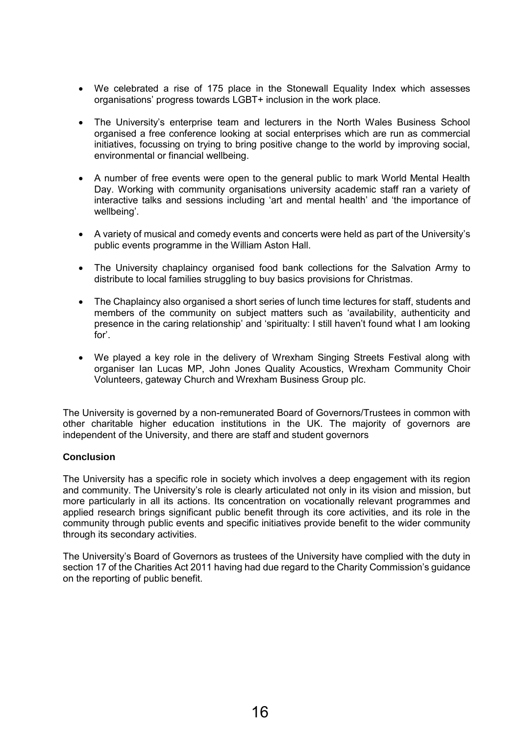- We celebrated a rise of 175 place in the Stonewall Equality Index which assesses organisations' progress towards LGBT+ inclusion in the work place.
- The University's enterprise team and lecturers in the North Wales Business School organised a free conference looking at social enterprises which are run as commercial initiatives, focussing on trying to bring positive change to the world by improving social, environmental or financial wellbeing.
- A number of free events were open to the general public to mark World Mental Health Day. Working with community organisations university academic staff ran a variety of interactive talks and sessions including 'art and mental health' and 'the importance of wellbeing'.
- A variety of musical and comedy events and concerts were held as part of the University's public events programme in the William Aston Hall.
- The University chaplaincy organised food bank collections for the Salvation Army to distribute to local families struggling to buy basics provisions for Christmas.
- The Chaplaincy also organised a short series of lunch time lectures for staff, students and members of the community on subject matters such as 'availability, authenticity and presence in the caring relationship' and 'spiritualty: I still haven't found what I am looking for'.
- We played a key role in the delivery of Wrexham Singing Streets Festival along with organiser Ian Lucas MP, John Jones Quality Acoustics, Wrexham Community Choir Volunteers, gateway Church and Wrexham Business Group plc.

The University is governed by a non-remunerated Board of Governors/Trustees in common with other charitable higher education institutions in the UK. The majority of governors are independent of the University, and there are staff and student governors

## **Conclusion**

The University has a specific role in society which involves a deep engagement with its region and community. The University's role is clearly articulated not only in its vision and mission, but more particularly in all its actions. Its concentration on vocationally relevant programmes and applied research brings significant public benefit through its core activities, and its role in the community through public events and specific initiatives provide benefit to the wider community through its secondary activities.

The University's Board of Governors as trustees of the University have complied with the duty in section 17 of the Charities Act 2011 having had due regard to the Charity Commission's guidance on the reporting of public benefit.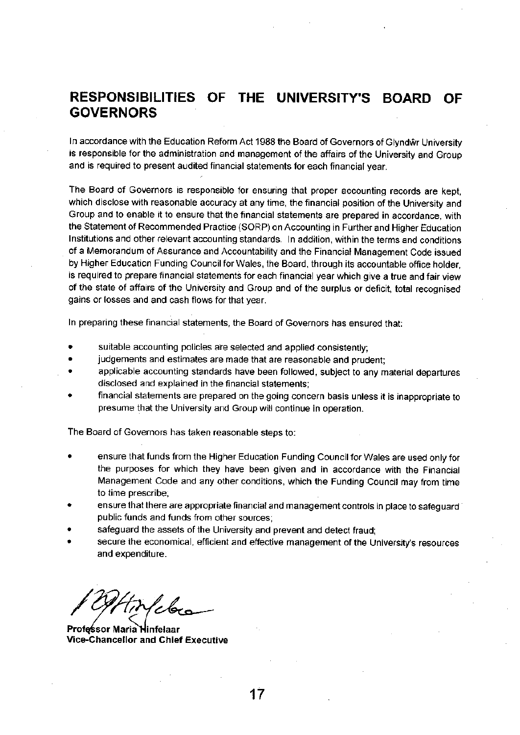#### RESPONSIBILITIES OF THE UNIVERSITY'S BOARD ΟF **GOVERNORS**

In accordance with the Education Reform Act 1988 the Board of Governors of Glyndŵr University is responsible for the administration and management of the affairs of the University and Group and is required to present audited financial statements for each financial year.

The Board of Governors is responsible for ensuring that proper accounting records are kept, which disclose with reasonable accuracy at any time, the financial position of the University and Group and to enable it to ensure that the financial statements are prepared in accordance, with the Statement of Recommended Practice (SORP) on Accounting in Further and Higher Education Institutions and other relevant accounting standards. In addition, within the terms and conditions of a Memorandum of Assurance and Accountability and the Financial Management Code issued by Higher Education Funding Council for Wales, the Board, through its accountable office holder. is required to prepare financial statements for each financial year which give a true and fair view of the state of affairs of the University and Group and of the surplus or deficit, total recognised gains or losses and and cash flows for that year.

In preparing these financial statements, the Board of Governors has ensured that:

- suitable accounting policies are selected and applied consistently;
- judgements and estimates are made that are reasonable and prudent;
- applicable accounting standards have been followed, subject to any material departures disclosed and explained in the financial statements;
- financial statements are prepared on the going concern basis unless it is inappropriate to presume that the University and Group will continue in operation.

The Board of Governors has taken reasonable steps to:

- ensure that funds from the Higher Education Funding Council for Wales are used only for the purposes for which they have been given and in accordance with the Financial Management Code and any other conditions, which the Funding Council may from time to time prescribe.
- ensure that there are appropriate financial and management controls in place to safeguard public funds and funds from other sources;
- safeguard the assets of the University and prevent and detect fraud;
- secure the economical, efficient and effective management of the University's resources and expenditure.

tinkeloro

Professor Maria Hinfelaar Vice-Chancellor and Chief Executive

17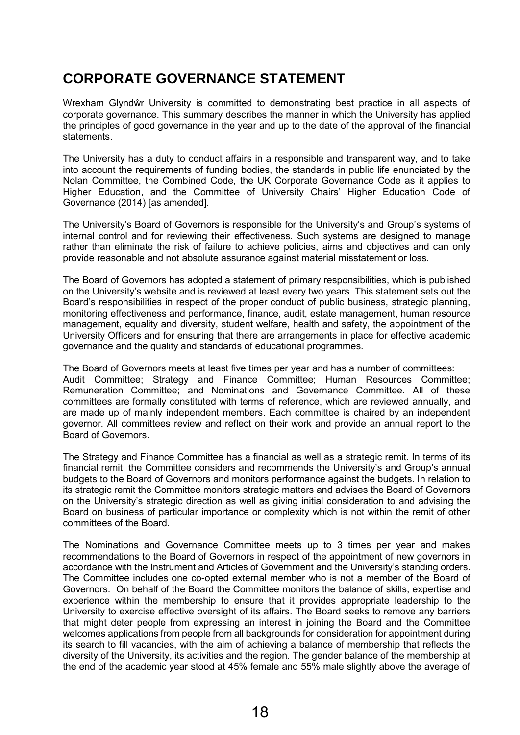# **CORPORATE GOVERNANCE STATEMENT**

Wrexham Glyndŵr University is committed to demonstrating best practice in all aspects of corporate governance. This summary describes the manner in which the University has applied the principles of good governance in the year and up to the date of the approval of the financial statements.

The University has a duty to conduct affairs in a responsible and transparent way, and to take into account the requirements of funding bodies, the standards in public life enunciated by the Nolan Committee, the Combined Code, the UK Corporate Governance Code as it applies to Higher Education, and the Committee of University Chairs' Higher Education Code of Governance (2014) [as amended].

The University's Board of Governors is responsible for the University's and Group's systems of internal control and for reviewing their effectiveness. Such systems are designed to manage rather than eliminate the risk of failure to achieve policies, aims and objectives and can only provide reasonable and not absolute assurance against material misstatement or loss.

The Board of Governors has adopted a statement of primary responsibilities, which is published on the University's website and is reviewed at least every two years. This statement sets out the Board's responsibilities in respect of the proper conduct of public business, strategic planning, monitoring effectiveness and performance, finance, audit, estate management, human resource management, equality and diversity, student welfare, health and safety, the appointment of the University Officers and for ensuring that there are arrangements in place for effective academic governance and the quality and standards of educational programmes.

The Board of Governors meets at least five times per year and has a number of committees: Audit Committee; Strategy and Finance Committee; Human Resources Committee; Remuneration Committee; and Nominations and Governance Committee. All of these committees are formally constituted with terms of reference, which are reviewed annually, and are made up of mainly independent members. Each committee is chaired by an independent governor. All committees review and reflect on their work and provide an annual report to the Board of Governors.

The Strategy and Finance Committee has a financial as well as a strategic remit. In terms of its financial remit, the Committee considers and recommends the University's and Group's annual budgets to the Board of Governors and monitors performance against the budgets. In relation to its strategic remit the Committee monitors strategic matters and advises the Board of Governors on the University's strategic direction as well as giving initial consideration to and advising the Board on business of particular importance or complexity which is not within the remit of other committees of the Board.

The Nominations and Governance Committee meets up to 3 times per year and makes recommendations to the Board of Governors in respect of the appointment of new governors in accordance with the Instrument and Articles of Government and the University's standing orders. The Committee includes one co-opted external member who is not a member of the Board of Governors. On behalf of the Board the Committee monitors the balance of skills, expertise and experience within the membership to ensure that it provides appropriate leadership to the University to exercise effective oversight of its affairs. The Board seeks to remove any barriers that might deter people from expressing an interest in joining the Board and the Committee welcomes applications from people from all backgrounds for consideration for appointment during its search to fill vacancies, with the aim of achieving a balance of membership that reflects the diversity of the University, its activities and the region. The gender balance of the membership at the end of the academic year stood at 45% female and 55% male slightly above the average of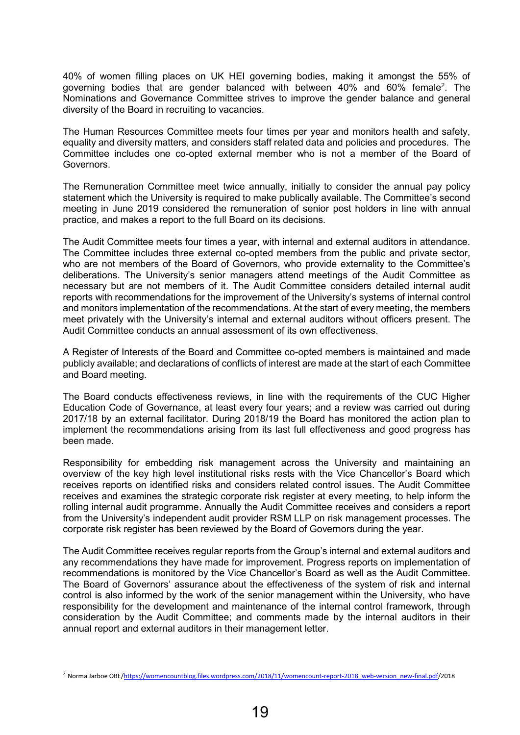40% of women filling places on UK HEI governing bodies, making it amongst the 55% of governing bodies that are gender balanced with between 40% and 60% female<sup>2</sup>. The Nominations and Governance Committee strives to improve the gender balance and general diversity of the Board in recruiting to vacancies.

The Human Resources Committee meets four times per year and monitors health and safety, equality and diversity matters, and considers staff related data and policies and procedures. The Committee includes one co-opted external member who is not a member of the Board of Governors.

The Remuneration Committee meet twice annually, initially to consider the annual pay policy statement which the University is required to make publically available. The Committee's second meeting in June 2019 considered the remuneration of senior post holders in line with annual practice, and makes a report to the full Board on its decisions.

The Audit Committee meets four times a year, with internal and external auditors in attendance. The Committee includes three external co-opted members from the public and private sector, who are not members of the Board of Governors, who provide externality to the Committee's deliberations. The University's senior managers attend meetings of the Audit Committee as necessary but are not members of it. The Audit Committee considers detailed internal audit reports with recommendations for the improvement of the University's systems of internal control and monitors implementation of the recommendations. At the start of every meeting, the members meet privately with the University's internal and external auditors without officers present. The Audit Committee conducts an annual assessment of its own effectiveness.

A Register of Interests of the Board and Committee co-opted members is maintained and made publicly available; and declarations of conflicts of interest are made at the start of each Committee and Board meeting.

The Board conducts effectiveness reviews, in line with the requirements of the CUC Higher Education Code of Governance, at least every four years; and a review was carried out during 2017/18 by an external facilitator. During 2018/19 the Board has monitored the action plan to implement the recommendations arising from its last full effectiveness and good progress has been made.

Responsibility for embedding risk management across the University and maintaining an overview of the key high level institutional risks rests with the Vice Chancellor's Board which receives reports on identified risks and considers related control issues. The Audit Committee receives and examines the strategic corporate risk register at every meeting, to help inform the rolling internal audit programme. Annually the Audit Committee receives and considers a report from the University's independent audit provider RSM LLP on risk management processes. The corporate risk register has been reviewed by the Board of Governors during the year.

The Audit Committee receives regular reports from the Group's internal and external auditors and any recommendations they have made for improvement. Progress reports on implementation of recommendations is monitored by the Vice Chancellor's Board as well as the Audit Committee. The Board of Governors' assurance about the effectiveness of the system of risk and internal control is also informed by the work of the senior management within the University, who have responsibility for the development and maintenance of the internal control framework, through consideration by the Audit Committee; and comments made by the internal auditors in their annual report and external auditors in their management letter.

<sup>&</sup>lt;sup>2</sup> Norma Jarboe OBE[/https://womencountblog.files.wordpress.com/2018/11/womencount-report-2018\\_web-version\\_new-final.pdf/](https://womencountblog.files.wordpress.com/2018/11/womencount-report-2018_web-version_new-final.pdf)2018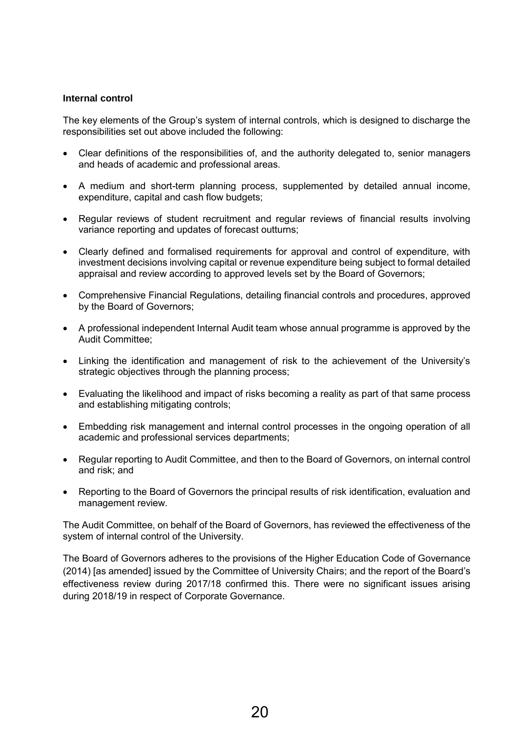## **Internal control**

The key elements of the Group's system of internal controls, which is designed to discharge the responsibilities set out above included the following:

- Clear definitions of the responsibilities of, and the authority delegated to, senior managers and heads of academic and professional areas.
- A medium and short-term planning process, supplemented by detailed annual income, expenditure, capital and cash flow budgets;
- Regular reviews of student recruitment and regular reviews of financial results involving variance reporting and updates of forecast outturns;
- Clearly defined and formalised requirements for approval and control of expenditure, with investment decisions involving capital or revenue expenditure being subject to formal detailed appraisal and review according to approved levels set by the Board of Governors;
- Comprehensive Financial Regulations, detailing financial controls and procedures, approved by the Board of Governors;
- A professional independent Internal Audit team whose annual programme is approved by the Audit Committee;
- Linking the identification and management of risk to the achievement of the University's strategic objectives through the planning process;
- Evaluating the likelihood and impact of risks becoming a reality as part of that same process and establishing mitigating controls;
- Embedding risk management and internal control processes in the ongoing operation of all academic and professional services departments;
- Regular reporting to Audit Committee, and then to the Board of Governors, on internal control and risk; and
- Reporting to the Board of Governors the principal results of risk identification, evaluation and management review.

The Audit Committee, on behalf of the Board of Governors, has reviewed the effectiveness of the system of internal control of the University.

The Board of Governors adheres to the provisions of the Higher Education Code of Governance (2014) [as amended] issued by the Committee of University Chairs; and the report of the Board's effectiveness review during 2017/18 confirmed this. There were no significant issues arising during 2018/19 in respect of Corporate Governance.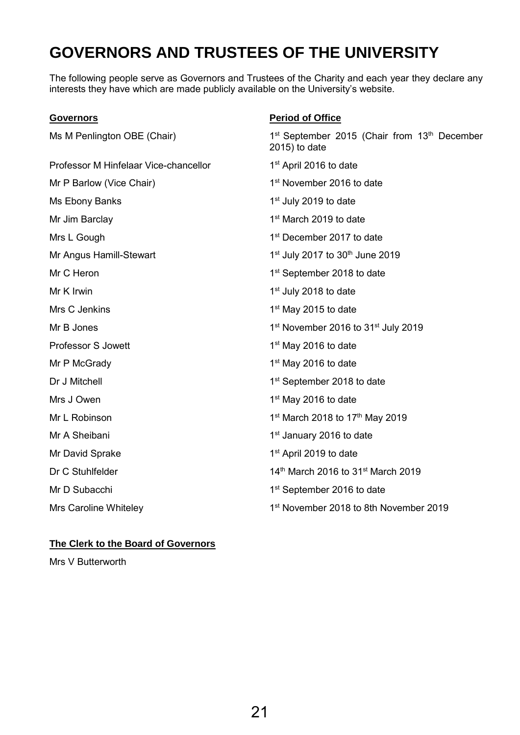# **GOVERNORS AND TRUSTEES OF THE UNIVERSITY**

The following people serve as Governors and Trustees of the Charity and each year they declare any interests they have which are made publicly available on the University's website.

| <b>Governors</b>                      | <b>Period of Office</b>                                                                  |
|---------------------------------------|------------------------------------------------------------------------------------------|
| Ms M Penlington OBE (Chair)           | 1 <sup>st</sup> September 2015 (Chair from 13 <sup>th</sup> December<br>$2015$ ) to date |
| Professor M Hinfelaar Vice-chancellor | 1 <sup>st</sup> April 2016 to date                                                       |
| Mr P Barlow (Vice Chair)              | 1 <sup>st</sup> November 2016 to date                                                    |
| Ms Ebony Banks                        | 1 <sup>st</sup> July 2019 to date                                                        |
| Mr Jim Barclay                        | 1 <sup>st</sup> March 2019 to date                                                       |
| Mrs L Gough                           | 1 <sup>st</sup> December 2017 to date                                                    |
| Mr Angus Hamill-Stewart               | 1 <sup>st</sup> July 2017 to 30 <sup>th</sup> June 2019                                  |
| Mr C Heron                            | 1 <sup>st</sup> September 2018 to date                                                   |
| Mr K Irwin                            | 1 <sup>st</sup> July 2018 to date                                                        |
| Mrs C Jenkins                         | $1st$ May 2015 to date                                                                   |
| Mr B Jones                            | 1 <sup>st</sup> November 2016 to 31 <sup>st</sup> July 2019                              |
| <b>Professor S Jowett</b>             | 1 <sup>st</sup> May 2016 to date                                                         |
| Mr P McGrady                          | 1 <sup>st</sup> May 2016 to date                                                         |
| Dr J Mitchell                         | 1 <sup>st</sup> September 2018 to date                                                   |
| Mrs J Owen                            | 1 <sup>st</sup> May 2016 to date                                                         |
| Mr L Robinson                         | 1 <sup>st</sup> March 2018 to 17 <sup>th</sup> May 2019                                  |
| Mr A Sheibani                         | 1 <sup>st</sup> January 2016 to date                                                     |
| Mr David Sprake                       | 1 <sup>st</sup> April 2019 to date                                                       |
| Dr C Stuhlfelder                      | 14 <sup>th</sup> March 2016 to 31 <sup>st</sup> March 2019                               |
| Mr D Subacchi                         | 1 <sup>st</sup> September 2016 to date                                                   |
| Mrs Caroline Whiteley                 | 1 <sup>st</sup> November 2018 to 8th November 2019                                       |

## **The Clerk to the Board of Governors**

Mrs V Butterworth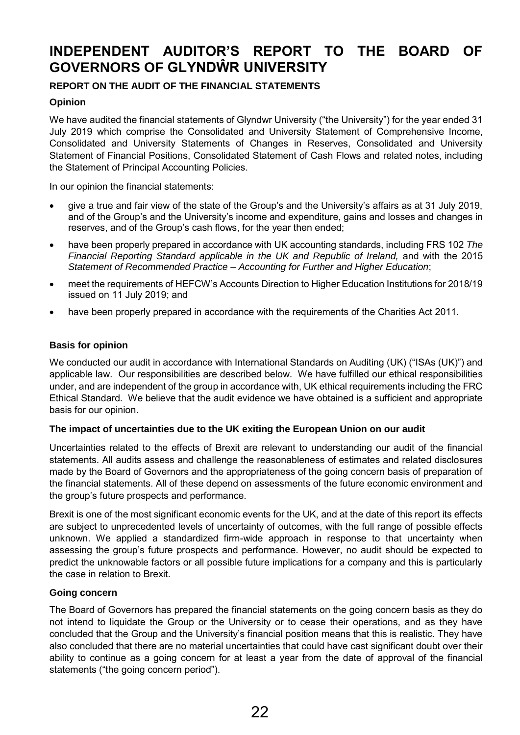## **INDEPENDENT AUDITOR'S REPORT TO THE BOARD OF GOVERNORS OF GLYNDŴR UNIVERSITY**

## **REPORT ON THE AUDIT OF THE FINANCIAL STATEMENTS**

## **Opinion**

We have audited the financial statements of Glyndwr University ("the University") for the year ended 31 July 2019 which comprise the Consolidated and University Statement of Comprehensive Income, Consolidated and University Statements of Changes in Reserves, Consolidated and University Statement of Financial Positions, Consolidated Statement of Cash Flows and related notes, including the Statement of Principal Accounting Policies.

In our opinion the financial statements:

- give a true and fair view of the state of the Group's and the University's affairs as at 31 July 2019, and of the Group's and the University's income and expenditure, gains and losses and changes in reserves, and of the Group's cash flows, for the year then ended;
- have been properly prepared in accordance with UK accounting standards, including FRS 102 *The Financial Reporting Standard applicable in the UK and Republic of Ireland,* and with the 2015 *Statement of Recommended Practice – Accounting for Further and Higher Education*;
- meet the requirements of HEFCW's Accounts Direction to Higher Education Institutions for 2018/19 issued on 11 July 2019; and
- have been properly prepared in accordance with the requirements of the Charities Act 2011.

## **Basis for opinion**

We conducted our audit in accordance with International Standards on Auditing (UK) ("ISAs (UK)") and applicable law. Our responsibilities are described below. We have fulfilled our ethical responsibilities under, and are independent of the group in accordance with, UK ethical requirements including the FRC Ethical Standard. We believe that the audit evidence we have obtained is a sufficient and appropriate basis for our opinion.

## **The impact of uncertainties due to the UK exiting the European Union on our audit**

Uncertainties related to the effects of Brexit are relevant to understanding our audit of the financial statements. All audits assess and challenge the reasonableness of estimates and related disclosures made by the Board of Governors and the appropriateness of the going concern basis of preparation of the financial statements. All of these depend on assessments of the future economic environment and the group's future prospects and performance.

Brexit is one of the most significant economic events for the UK, and at the date of this report its effects are subject to unprecedented levels of uncertainty of outcomes, with the full range of possible effects unknown. We applied a standardized firm-wide approach in response to that uncertainty when assessing the group's future prospects and performance. However, no audit should be expected to predict the unknowable factors or all possible future implications for a company and this is particularly the case in relation to Brexit.

## **Going concern**

The Board of Governors has prepared the financial statements on the going concern basis as they do not intend to liquidate the Group or the University or to cease their operations, and as they have concluded that the Group and the University's financial position means that this is realistic. They have also concluded that there are no material uncertainties that could have cast significant doubt over their ability to continue as a going concern for at least a year from the date of approval of the financial statements ("the going concern period").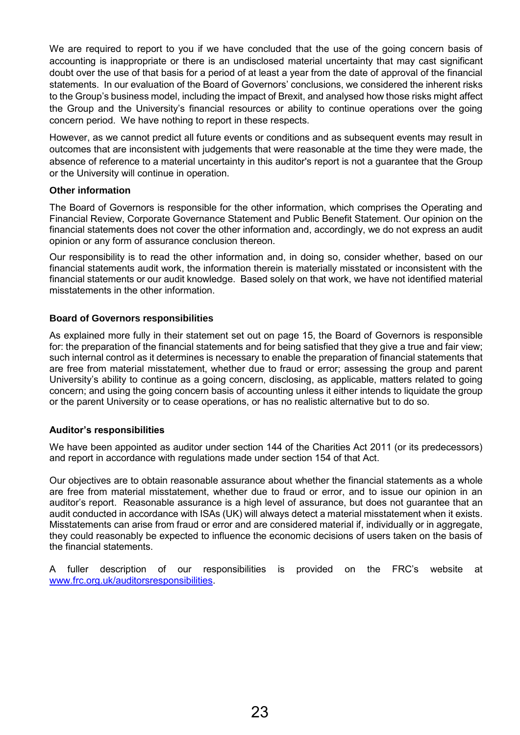We are required to report to you if we have concluded that the use of the going concern basis of accounting is inappropriate or there is an undisclosed material uncertainty that may cast significant doubt over the use of that basis for a period of at least a year from the date of approval of the financial statements. In our evaluation of the Board of Governors' conclusions, we considered the inherent risks to the Group's business model, including the impact of Brexit, and analysed how those risks might affect the Group and the University's financial resources or ability to continue operations over the going concern period. We have nothing to report in these respects.

However, as we cannot predict all future events or conditions and as subsequent events may result in outcomes that are inconsistent with judgements that were reasonable at the time they were made, the absence of reference to a material uncertainty in this auditor's report is not a guarantee that the Group or the University will continue in operation.

## **Other information**

The Board of Governors is responsible for the other information, which comprises the Operating and Financial Review, Corporate Governance Statement and Public Benefit Statement. Our opinion on the financial statements does not cover the other information and, accordingly, we do not express an audit opinion or any form of assurance conclusion thereon.

Our responsibility is to read the other information and, in doing so, consider whether, based on our financial statements audit work, the information therein is materially misstated or inconsistent with the financial statements or our audit knowledge. Based solely on that work, we have not identified material misstatements in the other information.

## **Board of Governors responsibilities**

As explained more fully in their statement set out on page 15, the Board of Governors is responsible for: the preparation of the financial statements and for being satisfied that they give a true and fair view; such internal control as it determines is necessary to enable the preparation of financial statements that are free from material misstatement, whether due to fraud or error; assessing the group and parent University's ability to continue as a going concern, disclosing, as applicable, matters related to going concern; and using the going concern basis of accounting unless it either intends to liquidate the group or the parent University or to cease operations, or has no realistic alternative but to do so.

## **Auditor's responsibilities**

We have been appointed as auditor under section 144 of the Charities Act 2011 (or its predecessors) and report in accordance with regulations made under section 154 of that Act.

Our objectives are to obtain reasonable assurance about whether the financial statements as a whole are free from material misstatement, whether due to fraud or error, and to issue our opinion in an auditor's report. Reasonable assurance is a high level of assurance, but does not guarantee that an audit conducted in accordance with ISAs (UK) will always detect a material misstatement when it exists. Misstatements can arise from fraud or error and are considered material if, individually or in aggregate, they could reasonably be expected to influence the economic decisions of users taken on the basis of the financial statements.

A fuller description of our responsibilities is provided on the FRC's website at [www.frc.org.uk/auditorsresponsibilities.](http://www.frc.org.uk/auditorsresponsibilities)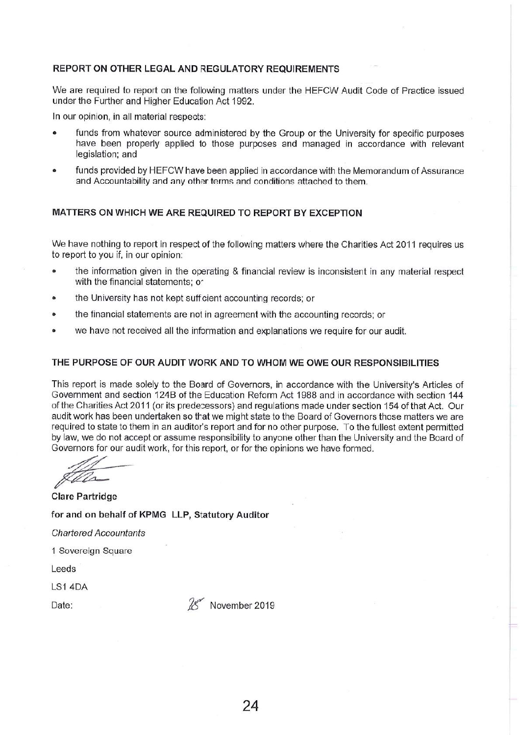## REPORT ON OTHER LEGAL AND REGULATORY REQUIREMENTS

We are required to report on the following matters under the HEFCW Audit Code of Practice issued under the Further and Higher Education Act 1992.

In our opinion, in all material respects:

- funds from whatever source administered by the Group or the University for specific purposes have been properly applied to those purposes and managed in accordance with relevant legislation; and
- funds provided by HEFCW have been applied in accordance with the Memorandum of Assurance and Accountability and any other terms and conditions attached to them.

## MATTERS ON WHICH WE ARE REQUIRED TO REPORT BY EXCEPTION

We have nothing to report in respect of the following matters where the Charities Act 2011 requires us to report to you if, in our opinion:

- the information given in the operating & financial review is inconsistent in any material respect with the financial statements; or
- the University has not kept sufficient accounting records; or
- the financial statements are not in agreement with the accounting records; or
- we have not received all the information and explanations we require for our audit.

### THE PURPOSE OF OUR AUDIT WORK AND TO WHOM WE OWE OUR RESPONSIBILITIES

This report is made solely to the Board of Governors, in accordance with the University's Articles of Government and section 124B of the Education Reform Act 1988 and in accordance with section 144 of the Charities Act 2011 (or its predecessors) and regulations made under section 154 of that Act. Our audit work has been undertaken so that we might state to the Board of Governors those matters we are required to state to them in an auditor's report and for no other purpose. To the fullest extent permitted by law, we do not accept or assume responsibility to anyone other than the University and the Board of Governors for our audit work, for this report, or for the opinions we have formed.

**Clare Partridge** 

for and on behalf of KPMG LLP, Statutory Auditor

**Chartered Accountants** 

1 Sovereign Square

Leeds

LS1 4DA

Date:

28 November 2019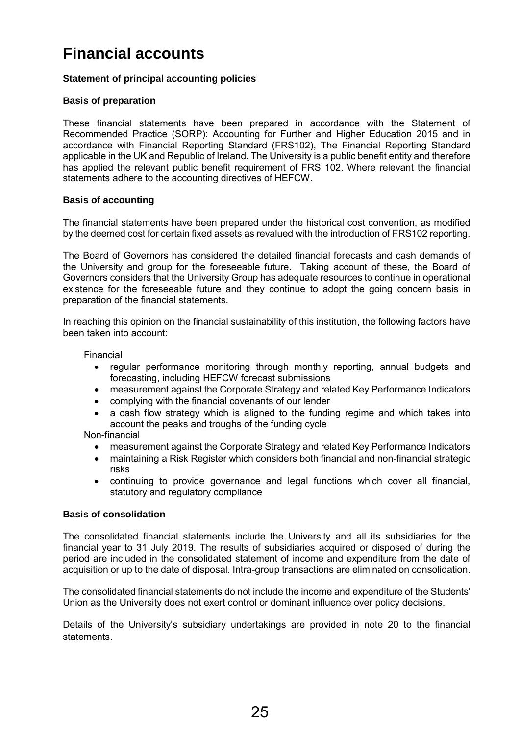# **Financial accounts**

## **Statement of principal accounting policies**

## **Basis of preparation**

These financial statements have been prepared in accordance with the Statement of Recommended Practice (SORP): Accounting for Further and Higher Education 2015 and in accordance with Financial Reporting Standard (FRS102), The Financial Reporting Standard applicable in the UK and Republic of Ireland. The University is a public benefit entity and therefore has applied the relevant public benefit requirement of FRS 102. Where relevant the financial statements adhere to the accounting directives of HEFCW.

## **Basis of accounting**

The financial statements have been prepared under the historical cost convention, as modified by the deemed cost for certain fixed assets as revalued with the introduction of FRS102 reporting.

The Board of Governors has considered the detailed financial forecasts and cash demands of the University and group for the foreseeable future. Taking account of these, the Board of Governors considers that the University Group has adequate resources to continue in operational existence for the foreseeable future and they continue to adopt the going concern basis in preparation of the financial statements.

In reaching this opinion on the financial sustainability of this institution, the following factors have been taken into account:

Financial

- regular performance monitoring through monthly reporting, annual budgets and forecasting, including HEFCW forecast submissions
- measurement against the Corporate Strategy and related Key Performance Indicators
- complying with the financial covenants of our lender
- a cash flow strategy which is aligned to the funding regime and which takes into account the peaks and troughs of the funding cycle

Non-financial

- measurement against the Corporate Strategy and related Key Performance Indicators
- maintaining a Risk Register which considers both financial and non-financial strategic risks
- continuing to provide governance and legal functions which cover all financial, statutory and regulatory compliance

## **Basis of consolidation**

The consolidated financial statements include the University and all its subsidiaries for the financial year to 31 July 2019. The results of subsidiaries acquired or disposed of during the period are included in the consolidated statement of income and expenditure from the date of acquisition or up to the date of disposal. Intra-group transactions are eliminated on consolidation.

The consolidated financial statements do not include the income and expenditure of the Students' Union as the University does not exert control or dominant influence over policy decisions.

Details of the University's subsidiary undertakings are provided in note 20 to the financial statements.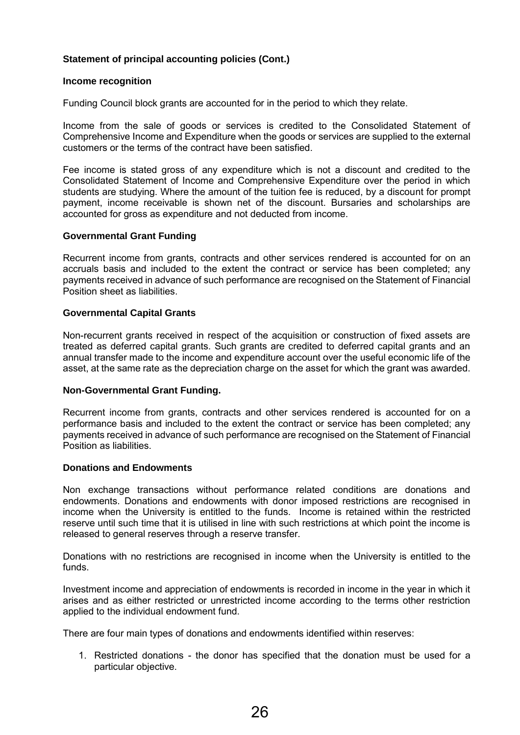## **Income recognition**

Funding Council block grants are accounted for in the period to which they relate.

Income from the sale of goods or services is credited to the Consolidated Statement of Comprehensive Income and Expenditure when the goods or services are supplied to the external customers or the terms of the contract have been satisfied.

Fee income is stated gross of any expenditure which is not a discount and credited to the Consolidated Statement of Income and Comprehensive Expenditure over the period in which students are studying. Where the amount of the tuition fee is reduced, by a discount for prompt payment, income receivable is shown net of the discount. Bursaries and scholarships are accounted for gross as expenditure and not deducted from income.

## **Governmental Grant Funding**

Recurrent income from grants, contracts and other services rendered is accounted for on an accruals basis and included to the extent the contract or service has been completed; any payments received in advance of such performance are recognised on the Statement of Financial Position sheet as liabilities.

## **Governmental Capital Grants**

Non-recurrent grants received in respect of the acquisition or construction of fixed assets are treated as deferred capital grants. Such grants are credited to deferred capital grants and an annual transfer made to the income and expenditure account over the useful economic life of the asset, at the same rate as the depreciation charge on the asset for which the grant was awarded.

## **Non-Governmental Grant Funding.**

Recurrent income from grants, contracts and other services rendered is accounted for on a performance basis and included to the extent the contract or service has been completed; any payments received in advance of such performance are recognised on the Statement of Financial Position as liabilities.

## **Donations and Endowments**

Non exchange transactions without performance related conditions are donations and endowments. Donations and endowments with donor imposed restrictions are recognised in income when the University is entitled to the funds. Income is retained within the restricted reserve until such time that it is utilised in line with such restrictions at which point the income is released to general reserves through a reserve transfer.

Donations with no restrictions are recognised in income when the University is entitled to the funds.

Investment income and appreciation of endowments is recorded in income in the year in which it arises and as either restricted or unrestricted income according to the terms other restriction applied to the individual endowment fund.

There are four main types of donations and endowments identified within reserves:

1. Restricted donations - the donor has specified that the donation must be used for a particular objective.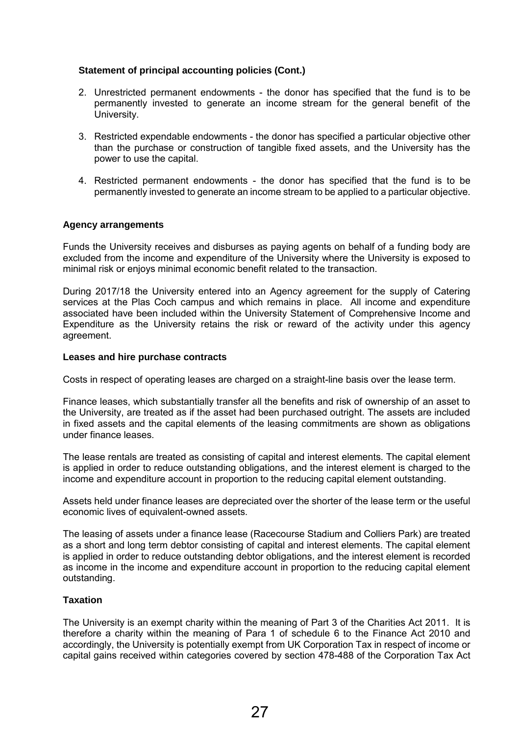- 2. Unrestricted permanent endowments the donor has specified that the fund is to be permanently invested to generate an income stream for the general benefit of the University.
- 3. Restricted expendable endowments the donor has specified a particular objective other than the purchase or construction of tangible fixed assets, and the University has the power to use the capital.
- 4. Restricted permanent endowments the donor has specified that the fund is to be permanently invested to generate an income stream to be applied to a particular objective.

## **Agency arrangements**

Funds the University receives and disburses as paying agents on behalf of a funding body are excluded from the income and expenditure of the University where the University is exposed to minimal risk or enjoys minimal economic benefit related to the transaction.

During 2017/18 the University entered into an Agency agreement for the supply of Catering services at the Plas Coch campus and which remains in place. All income and expenditure associated have been included within the University Statement of Comprehensive Income and Expenditure as the University retains the risk or reward of the activity under this agency agreement.

## **Leases and hire purchase contracts**

Costs in respect of operating leases are charged on a straight-line basis over the lease term.

Finance leases, which substantially transfer all the benefits and risk of ownership of an asset to the University, are treated as if the asset had been purchased outright. The assets are included in fixed assets and the capital elements of the leasing commitments are shown as obligations under finance leases.

The lease rentals are treated as consisting of capital and interest elements. The capital element is applied in order to reduce outstanding obligations, and the interest element is charged to the income and expenditure account in proportion to the reducing capital element outstanding.

Assets held under finance leases are depreciated over the shorter of the lease term or the useful economic lives of equivalent-owned assets.

The leasing of assets under a finance lease (Racecourse Stadium and Colliers Park) are treated as a short and long term debtor consisting of capital and interest elements. The capital element is applied in order to reduce outstanding debtor obligations, and the interest element is recorded as income in the income and expenditure account in proportion to the reducing capital element outstanding.

## **Taxation**

The University is an exempt charity within the meaning of Part 3 of the Charities Act 2011. It is therefore a charity within the meaning of Para 1 of schedule 6 to the Finance Act 2010 and accordingly, the University is potentially exempt from UK Corporation Tax in respect of income or capital gains received within categories covered by section 478-488 of the Corporation Tax Act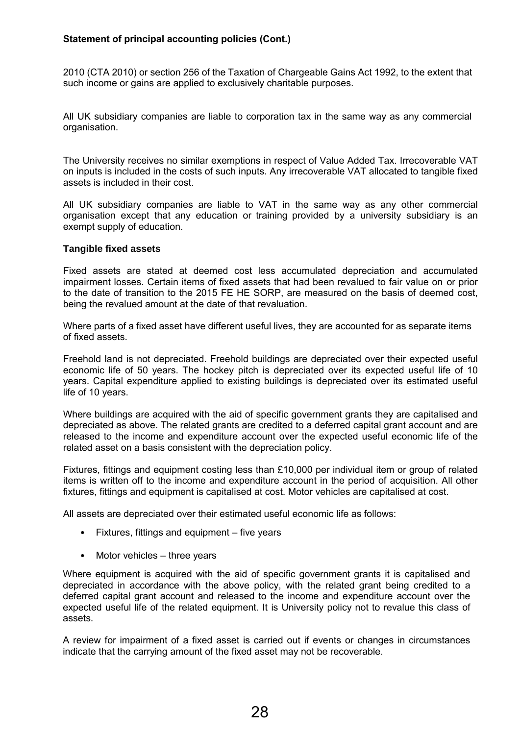2010 (CTA 2010) or section 256 of the Taxation of Chargeable Gains Act 1992, to the extent that such income or gains are applied to exclusively charitable purposes.

All UK subsidiary companies are liable to corporation tax in the same way as any commercial organisation.

The University receives no similar exemptions in respect of Value Added Tax. Irrecoverable VAT on inputs is included in the costs of such inputs. Any irrecoverable VAT allocated to tangible fixed assets is included in their cost.

All UK subsidiary companies are liable to VAT in the same way as any other commercial organisation except that any education or training provided by a university subsidiary is an exempt supply of education.

## **Tangible fixed assets**

Fixed assets are stated at deemed cost less accumulated depreciation and accumulated impairment losses. Certain items of fixed assets that had been revalued to fair value on or prior to the date of transition to the 2015 FE HE SORP, are measured on the basis of deemed cost, being the revalued amount at the date of that revaluation.

Where parts of a fixed asset have different useful lives, they are accounted for as separate items of fixed assets.

Freehold land is not depreciated. Freehold buildings are depreciated over their expected useful economic life of 50 years. The hockey pitch is depreciated over its expected useful life of 10 years. Capital expenditure applied to existing buildings is depreciated over its estimated useful life of 10 years.

Where buildings are acquired with the aid of specific government grants they are capitalised and depreciated as above. The related grants are credited to a deferred capital grant account and are released to the income and expenditure account over the expected useful economic life of the related asset on a basis consistent with the depreciation policy.

Fixtures, fittings and equipment costing less than £10,000 per individual item or group of related items is written off to the income and expenditure account in the period of acquisition. All other fixtures, fittings and equipment is capitalised at cost. Motor vehicles are capitalised at cost.

All assets are depreciated over their estimated useful economic life as follows:

- Fixtures, fittings and equipment five years
- Motor vehicles three years

Where equipment is acquired with the aid of specific government grants it is capitalised and depreciated in accordance with the above policy, with the related grant being credited to a deferred capital grant account and released to the income and expenditure account over the expected useful life of the related equipment. It is University policy not to revalue this class of assets.

A review for impairment of a fixed asset is carried out if events or changes in circumstances indicate that the carrying amount of the fixed asset may not be recoverable.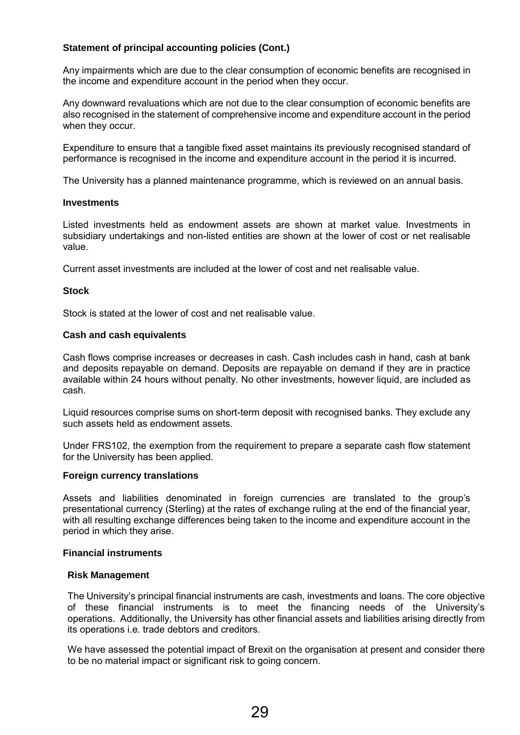Any impairments which are due to the clear consumption of economic benefits are recognised in the income and expenditure account in the period when they occur.

Any downward revaluations which are not due to the clear consumption of economic benefits are also recognised in the statement of comprehensive income and expenditure account in the period when they occur.

Expenditure to ensure that a tangible fixed asset maintains its previously recognised standard of performance is recognised in the income and expenditure account in the period it is incurred.

The University has a planned maintenance programme, which is reviewed on an annual basis.

## **Investments**

Listed investments held as endowment assets are shown at market value. Investments in subsidiary undertakings and non-listed entities are shown at the lower of cost or net realisable value.

Current asset investments are included at the lower of cost and net realisable value.

## **Stock**

Stock is stated at the lower of cost and net realisable value.

## **Cash and cash equivalents**

Cash flows comprise increases or decreases in cash. Cash includes cash in hand, cash at bank and deposits repayable on demand. Deposits are repayable on demand if they are in practice available within 24 hours without penalty. No other investments, however liquid, are included as cash.

Liquid resources comprise sums on short-term deposit with recognised banks. They exclude any such assets held as endowment assets.

Under FRS102, the exemption from the requirement to prepare a separate cash flow statement for the University has been applied.

## **Foreign currency translations**

Assets and liabilities denominated in foreign currencies are translated to the group's presentational currency (Sterling) at the rates of exchange ruling at the end of the financial year, with all resulting exchange differences being taken to the income and expenditure account in the period in which they arise.

## **Financial instruments**

## **Risk Management**

The University's principal financial instruments are cash, investments and loans. The core objective of these financial instruments is to meet the financing needs of the University's operations. Additionally, the University has other financial assets and liabilities arising directly from its operations i.e. trade debtors and creditors.

We have assessed the potential impact of Brexit on the organisation at present and consider there to be no material impact or significant risk to going concern.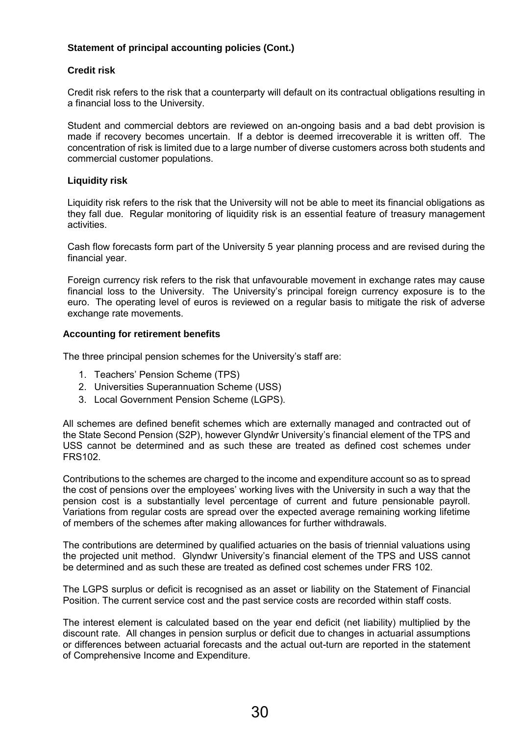## **Credit risk**

Credit risk refers to the risk that a counterparty will default on its contractual obligations resulting in a financial loss to the University.

Student and commercial debtors are reviewed on an-ongoing basis and a bad debt provision is made if recovery becomes uncertain. If a debtor is deemed irrecoverable it is written off. The concentration of risk is limited due to a large number of diverse customers across both students and commercial customer populations.

## **Liquidity risk**

Liquidity risk refers to the risk that the University will not be able to meet its financial obligations as they fall due. Regular monitoring of liquidity risk is an essential feature of treasury management activities.

Cash flow forecasts form part of the University 5 year planning process and are revised during the financial year.

Foreign currency risk refers to the risk that unfavourable movement in exchange rates may cause financial loss to the University. The University's principal foreign currency exposure is to the euro. The operating level of euros is reviewed on a regular basis to mitigate the risk of adverse exchange rate movements.

## **Accounting for retirement benefits**

The three principal pension schemes for the University's staff are:

- 1. Teachers' Pension Scheme (TPS)
- 2. Universities Superannuation Scheme (USS)
- 3. Local Government Pension Scheme (LGPS).

All schemes are defined benefit schemes which are externally managed and contracted out of the State Second Pension (S2P), however Glyndŵr University's financial element of the TPS and USS cannot be determined and as such these are treated as defined cost schemes under FRS102.

Contributions to the schemes are charged to the income and expenditure account so as to spread the cost of pensions over the employees' working lives with the University in such a way that the pension cost is a substantially level percentage of current and future pensionable payroll. Variations from regular costs are spread over the expected average remaining working lifetime of members of the schemes after making allowances for further withdrawals.

The contributions are determined by qualified actuaries on the basis of triennial valuations using the projected unit method. Glyndwr University's financial element of the TPS and USS cannot be determined and as such these are treated as defined cost schemes under FRS 102.

The LGPS surplus or deficit is recognised as an asset or liability on the Statement of Financial Position. The current service cost and the past service costs are recorded within staff costs.

The interest element is calculated based on the year end deficit (net liability) multiplied by the discount rate. All changes in pension surplus or deficit due to changes in actuarial assumptions or differences between actuarial forecasts and the actual out-turn are reported in the statement of Comprehensive Income and Expenditure.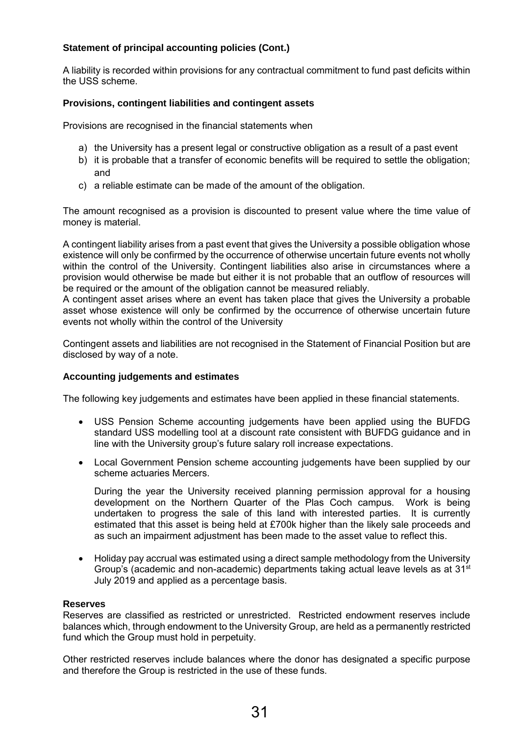A liability is recorded within provisions for any contractual commitment to fund past deficits within the USS scheme.

## **Provisions, contingent liabilities and contingent assets**

Provisions are recognised in the financial statements when

- a) the University has a present legal or constructive obligation as a result of a past event
- b) it is probable that a transfer of economic benefits will be required to settle the obligation; and
- c) a reliable estimate can be made of the amount of the obligation.

The amount recognised as a provision is discounted to present value where the time value of money is material.

A contingent liability arises from a past event that gives the University a possible obligation whose existence will only be confirmed by the occurrence of otherwise uncertain future events not wholly within the control of the University. Contingent liabilities also arise in circumstances where a provision would otherwise be made but either it is not probable that an outflow of resources will be required or the amount of the obligation cannot be measured reliably.

A contingent asset arises where an event has taken place that gives the University a probable asset whose existence will only be confirmed by the occurrence of otherwise uncertain future events not wholly within the control of the University

Contingent assets and liabilities are not recognised in the Statement of Financial Position but are disclosed by way of a note.

## **Accounting judgements and estimates**

The following key judgements and estimates have been applied in these financial statements.

- USS Pension Scheme accounting judgements have been applied using the BUFDG standard USS modelling tool at a discount rate consistent with BUFDG guidance and in line with the University group's future salary roll increase expectations.
- Local Government Pension scheme accounting judgements have been supplied by our scheme actuaries Mercers.

During the year the University received planning permission approval for a housing development on the Northern Quarter of the Plas Coch campus. Work is being undertaken to progress the sale of this land with interested parties. It is currently estimated that this asset is being held at £700k higher than the likely sale proceeds and as such an impairment adjustment has been made to the asset value to reflect this.

 Holiday pay accrual was estimated using a direct sample methodology from the University Group's (academic and non-academic) departments taking actual leave levels as at 31<sup>st</sup> July 2019 and applied as a percentage basis.

## **Reserves**

Reserves are classified as restricted or unrestricted. Restricted endowment reserves include balances which, through endowment to the University Group, are held as a permanently restricted fund which the Group must hold in perpetuity.

Other restricted reserves include balances where the donor has designated a specific purpose and therefore the Group is restricted in the use of these funds.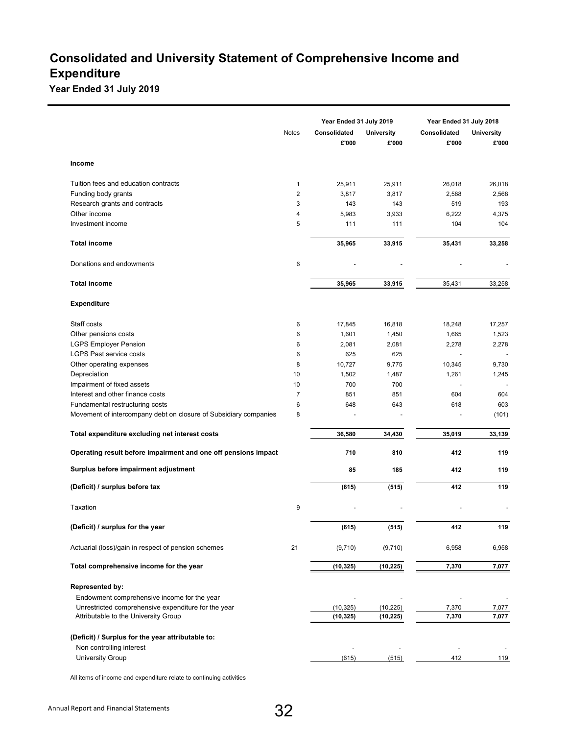# **Consolidated and University Statement of Comprehensive Income and Expenditure**

**Year Ended 31 July 2019**

|                                                                                             |                | Year Ended 31 July 2019 |                        | Year Ended 31 July 2018 |                   |
|---------------------------------------------------------------------------------------------|----------------|-------------------------|------------------------|-------------------------|-------------------|
|                                                                                             | Notes          | Consolidated            | <b>University</b>      | Consolidated            | <b>University</b> |
|                                                                                             |                | £'000                   | £'000                  | £'000                   | £'000             |
| Income                                                                                      |                |                         |                        |                         |                   |
| Tuition fees and education contracts                                                        | $\mathbf{1}$   | 25,911                  | 25,911                 | 26,018                  | 26,018            |
| Funding body grants                                                                         | $\overline{2}$ | 3,817                   | 3,817                  | 2,568                   | 2,568             |
| Research grants and contracts                                                               | 3              | 143                     | 143                    | 519                     | 193               |
| Other income                                                                                | $\overline{4}$ | 5,983                   | 3,933                  | 6,222                   | 4,375             |
| Investment income                                                                           | 5              | 111                     | 111                    | 104                     | 104               |
| <b>Total income</b>                                                                         |                | 35,965                  | 33,915                 | 35,431                  | 33,258            |
| Donations and endowments                                                                    | 6              |                         |                        |                         |                   |
| <b>Total income</b>                                                                         |                | 35,965                  | 33,915                 | 35,431                  | 33,258            |
| <b>Expenditure</b>                                                                          |                |                         |                        |                         |                   |
| Staff costs                                                                                 | 6              | 17,845                  | 16,818                 | 18,248                  | 17,257            |
| Other pensions costs                                                                        | 6              | 1,601                   | 1,450                  | 1,665                   | 1,523             |
| <b>LGPS Employer Pension</b>                                                                | 6              | 2,081                   | 2,081                  | 2,278                   | 2,278             |
| <b>LGPS Past service costs</b>                                                              | 6              | 625                     | 625                    |                         |                   |
| Other operating expenses                                                                    | 8              | 10,727                  | 9,775                  | 10,345                  | 9,730             |
| Depreciation                                                                                | 10             | 1,502                   | 1,487                  | 1,261                   | 1,245             |
| Impairment of fixed assets                                                                  | 10             | 700                     | 700                    |                         |                   |
| Interest and other finance costs                                                            | $\overline{7}$ | 851                     | 851                    | 604                     | 604               |
| Fundamental restructuring costs                                                             | 6              | 648                     | 643                    | 618                     | 603               |
| Movement of intercompany debt on closure of Subsidiary companies                            | 8              |                         |                        |                         | (101)             |
| Total expenditure excluding net interest costs                                              |                | 36,580                  | 34,430                 | 35,019                  | 33,139            |
| Operating result before impairment and one off pensions impact                              |                | 710                     | 810                    | 412                     | 119               |
| Surplus before impairment adjustment                                                        |                | 85                      | 185                    | 412                     | 119               |
| (Deficit) / surplus before tax                                                              |                | (615)                   | (515)                  | 412                     | 119               |
| Taxation                                                                                    | 9              |                         |                        |                         |                   |
| (Deficit) / surplus for the year                                                            |                | (615)                   | (515)                  | 412                     | 119               |
| Actuarial (loss)/gain in respect of pension schemes                                         | 21             | (9,710)                 | (9,710)                | 6,958                   | 6,958             |
| Total comprehensive income for the year                                                     |                | (10, 325)               | (10, 225)              | 7,370                   | 7,077             |
|                                                                                             |                |                         |                        |                         |                   |
| <b>Represented by:</b>                                                                      |                |                         |                        |                         |                   |
| Endowment comprehensive income for the year                                                 |                |                         |                        |                         |                   |
| Unrestricted comprehensive expenditure for the year<br>Attributable to the University Group |                | (10, 325)<br>(10, 325)  | (10, 225)<br>(10, 225) | 7,370<br>7,370          | 7,077<br>7,077    |
|                                                                                             |                |                         |                        |                         |                   |
| (Deficit) / Surplus for the year attributable to:                                           |                |                         |                        |                         |                   |
| Non controlling interest                                                                    |                |                         |                        |                         |                   |
| <b>University Group</b>                                                                     |                | (615)                   | (515)                  | 412                     | 119               |
|                                                                                             |                |                         |                        |                         |                   |

All items of income and expenditure relate to continuing activities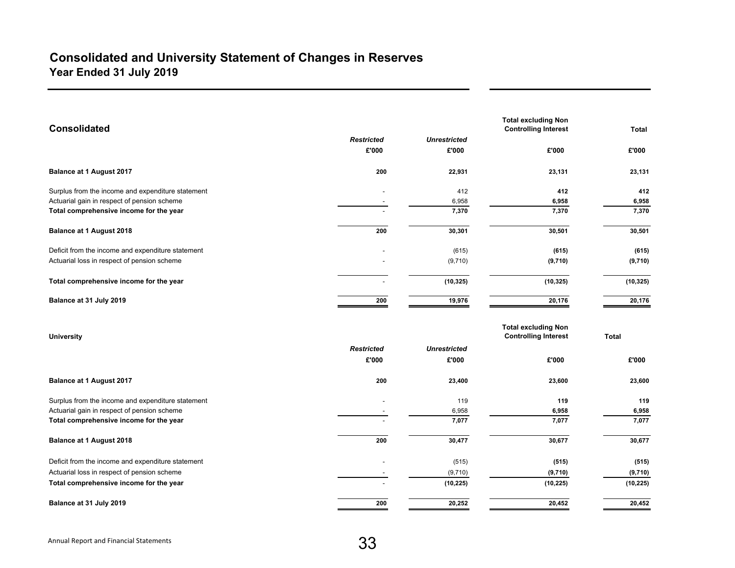## **Consolidated and University Statement of Changes in Reserves Year Ended 31 July 2019**

| <b>Consolidated</b>                               |                   |                     | <b>Total excluding Non</b><br><b>Controlling Interest</b> | <b>Total</b> |
|---------------------------------------------------|-------------------|---------------------|-----------------------------------------------------------|--------------|
|                                                   | <b>Restricted</b> | <b>Unrestricted</b> |                                                           |              |
|                                                   | £'000             | £'000               | £'000                                                     | £'000        |
| Balance at 1 August 2017                          | 200               | 22,931              | 23,131                                                    | 23,131       |
| Surplus from the income and expenditure statement |                   | 412                 | 412                                                       | 412          |
| Actuarial gain in respect of pension scheme       |                   | 6,958               | 6,958                                                     | 6,958        |
| Total comprehensive income for the year           |                   | 7,370               | 7,370                                                     | 7,370        |
| Balance at 1 August 2018                          | 200               | 30,301              | 30,501                                                    | 30,501       |
| Deficit from the income and expenditure statement |                   | (615)               | (615)                                                     | (615)        |
| Actuarial loss in respect of pension scheme       |                   | (9,710)             | (9,710)                                                   | (9,710)      |
| Total comprehensive income for the year           |                   | (10, 325)           | (10, 325)                                                 | (10, 325)    |
| Balance at 31 July 2019                           | 200               | 19,976              | 20,176                                                    | 20,176       |
|                                                   |                   |                     | <b>Total excluding Non</b>                                |              |
| <b>University</b>                                 |                   |                     | <b>Controlling Interest</b>                               | <b>Total</b> |
|                                                   | <b>Restricted</b> | <b>Unrestricted</b> |                                                           |              |
|                                                   | £'000             | £'000               | £'000                                                     | £'000        |
| Balance at 1 August 2017                          | 200               | 23,400              | 23,600                                                    | 23,600       |
| Surplus from the income and expenditure statement |                   | 119                 | 119                                                       | 119          |
| Actuarial gain in respect of pension scheme       |                   | 6,958               | 6,958                                                     | 6,958        |
| Total comprehensive income for the year           |                   | 7,077               | 7,077                                                     | 7,077        |
| Balance at 1 August 2018                          | 200               | 30,477              | 30,677                                                    | 30,677       |
| Deficit from the income and expenditure statement |                   | (515)               | (515)                                                     | (515)        |
| Actuarial loss in respect of pension scheme       |                   | (9,710)             | (9,710)                                                   | (9,710)      |
| Total comprehensive income for the year           |                   | (10, 225)           | (10, 225)                                                 | (10, 225)    |
| Balance at 31 July 2019                           | 200               | 20,252              | 20,452                                                    | 20,452       |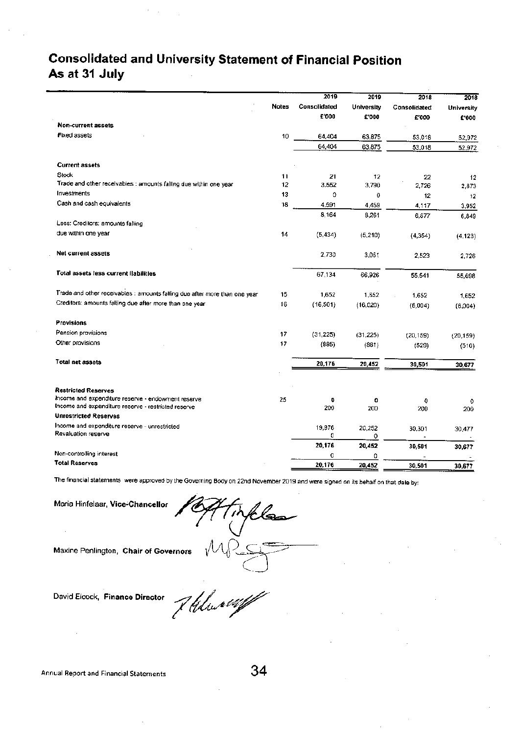## **Consolidated and University Statement of Financial Position** As at 31 July

|                                                                            |              | 2019         | 2019              | 2018         | 2018       |
|----------------------------------------------------------------------------|--------------|--------------|-------------------|--------------|------------|
|                                                                            | <b>Notes</b> | Consolidated | <b>University</b> | Consolidated | University |
|                                                                            |              | £'000        | £'000             | £'000        | £'000      |
| Non-current assets                                                         |              |              |                   |              |            |
| <b>Fixed assets</b>                                                        | 10           | 64,404       | 63,875            | 53,018       | 52,972     |
|                                                                            |              | 64,404       | 63,875            | 53,018       | 52,972     |
| <b>Current assets</b>                                                      |              |              |                   |              |            |
| Stock                                                                      | 11           | 21           | 12                | 22           | 12         |
| Trade and other receivables : amounts failing due within one year          | 12           | 3,552        | 3.790             | 2,726        | 2,873      |
| Investments                                                                | 13           | 0            | $\bf{0}$          | 12           | 12         |
| Cash and cash equivalents                                                  | 18           | 4,591        | 4,459             | 4,117        | 3,952      |
|                                                                            |              | 8.164        | 8,261             | 6.877        | 6.849      |
| Less: Creditors: amounts falling                                           |              |              |                   |              |            |
| due within one year                                                        | 14           | (5, 434)     | (5,210)           | (4, 354)     | (4, 123)   |
| Net current assets                                                         |              | 2,730        | 3,051             | 2,523        | 2,726      |
| Total assets less current liabilities                                      |              | 67,134       | 66,926            | 55,541       | 55,698     |
| Trade and other receivables : amounts falling due after more than one year | 15           | 1,652        | 1,652             | 1,652        | 1,652      |
| Creditors: amounts falling due after more than one year.                   | 16           | (16, 501)    | (16, 020)         | (6,004)      | (6,004)    |
| <b>Provisions</b>                                                          |              |              |                   |              |            |
| Pension provisions                                                         | 17           | (31, 225)    | (31, 225)         | (20, 159)    | (20, 159)  |
| Other provisions                                                           | 17           | (885)        | (881)             | (529)        | (510)      |
| Total net assets                                                           |              | 20,176       | 20,452            | 30,501       | 30,677     |
|                                                                            |              |              |                   |              |            |
| <b>Restricted Reserves</b>                                                 |              |              |                   |              |            |
| Income and expenditure reserve - endowment reserve                         | 25           | o            | ٥                 | 0            | 0          |
| Income and expenditure reserve - restricted reserve                        |              | 200          | 200               | 200          | 200        |
| <b>Unrestricted Reserves</b>                                               |              |              |                   |              |            |
| Income and expenditure reserve - unrestricted<br>Revaluation reserve       |              | 19,976       | 20,252            | 30,301       | 30.477     |
|                                                                            |              | o            | ٥                 |              |            |
|                                                                            |              | 20,176       | 20,452            | 30,501       | 30,677     |
| Non-controlling interest<br><b>Total Reserves</b>                          |              | 0            | 0                 |              |            |
|                                                                            |              | 20.176       | 20,452            | 30,501       | 30,677     |

The financial statements were approved by the Governing Body on 22nd November 2019 and were signed on its behalf on that date by:

Maria Hinfelaar, Vice-Chancellor

 $\ddot{\phantom{a}}$ 

Offinfles

Maxine Penlington, Chair of Governors

David Elcock, Finance Director

J Alwaug

Annual Report and Financial Statements

34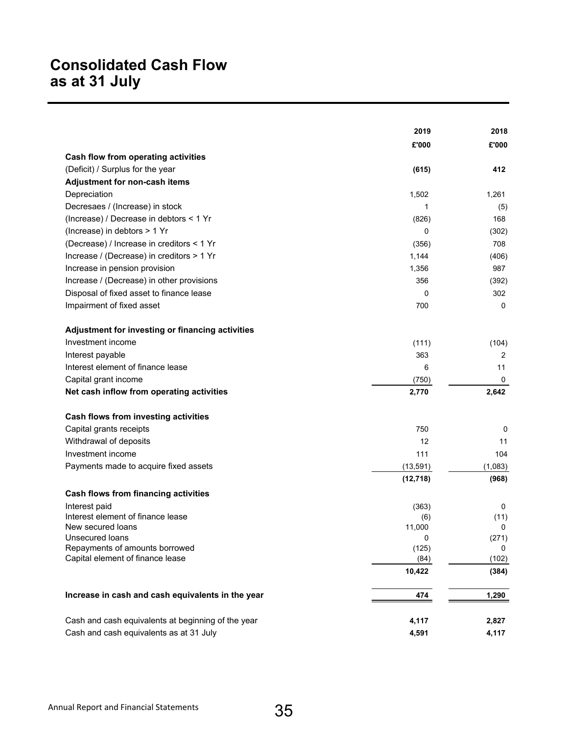# **Consolidated Cash Flow as at 31 July**

|                                                    | 2019      | 2018           |
|----------------------------------------------------|-----------|----------------|
|                                                    | £'000     | £'000          |
| Cash flow from operating activities                |           |                |
| (Deficit) / Surplus for the year                   | (615)     | 412            |
| Adjustment for non-cash items                      |           |                |
| Depreciation                                       | 1,502     | 1,261          |
| Decresaes / (Increase) in stock                    | 1         | (5)            |
| (Increase) / Decrease in debtors < 1 Yr            | (826)     | 168            |
| (Increase) in debtors > 1 Yr                       | 0         | (302)          |
| (Decrease) / Increase in creditors < 1 Yr          | (356)     | 708            |
| Increase / (Decrease) in creditors > 1 Yr          | 1,144     | (406)          |
| Increase in pension provision                      | 1,356     | 987            |
| Increase / (Decrease) in other provisions          | 356       | (392)          |
| Disposal of fixed asset to finance lease           | 0         | 302            |
| Impairment of fixed asset                          | 700       | 0              |
|                                                    |           |                |
| Adjustment for investing or financing activities   |           |                |
| Investment income                                  | (111)     | (104)          |
| Interest payable                                   | 363       | $\overline{2}$ |
| Interest element of finance lease                  | 6         | 11             |
| Capital grant income                               | (750)     | 0              |
| Net cash inflow from operating activities          | 2,770     | 2,642          |
|                                                    |           |                |
| Cash flows from investing activities               |           |                |
| Capital grants receipts                            | 750       | 0              |
| Withdrawal of deposits                             | 12        | 11             |
| Investment income                                  | 111       | 104            |
| Payments made to acquire fixed assets              | (13, 591) | (1,083)        |
|                                                    | (12, 718) | (968)          |
| <b>Cash flows from financing activities</b>        |           |                |
| Interest paid                                      | (363)     | 0              |
| Interest element of finance lease                  | (6)       | (11)           |
| New secured loans                                  | 11,000    | 0              |
| Unsecured loans                                    | 0         | (271)          |
| Repayments of amounts borrowed                     | (125)     | 0              |
| Capital element of finance lease                   | (84)      | (102)          |
|                                                    | 10,422    | (384)          |
|                                                    |           |                |
| Increase in cash and cash equivalents in the year  | 474       | 1,290          |
|                                                    |           |                |
| Cash and cash equivalents at beginning of the year | 4,117     | 2,827          |
| Cash and cash equivalents as at 31 July            | 4,591     | 4,117          |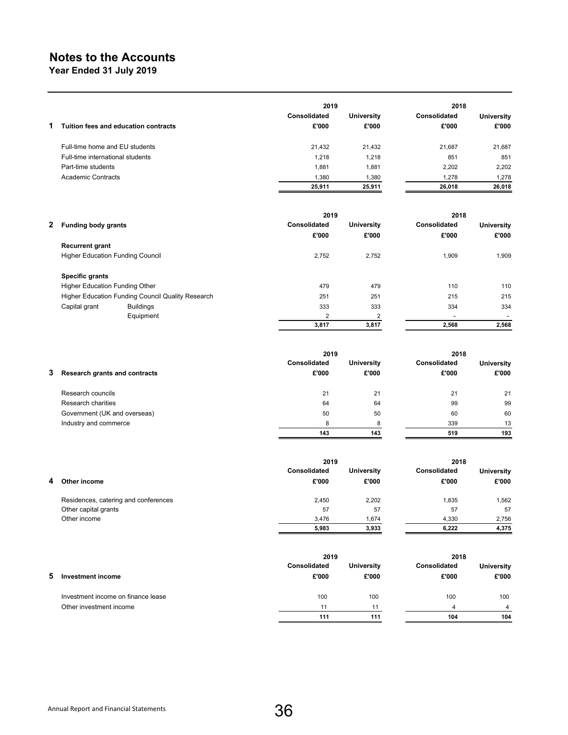**Year Ended 31 July 2019**

|   |                                      | 2019         |                   | 2018         |                   |
|---|--------------------------------------|--------------|-------------------|--------------|-------------------|
|   |                                      | Consolidated | <b>University</b> | Consolidated | <b>University</b> |
| 1 | Tuition fees and education contracts | £'000        | £'000             | £'000        | £'000             |
|   | Full-time home and EU students       | 21.432       | 21.432            | 21.687       | 21.687            |
|   | Full-time international students     | 1.218        | 1,218             | 851          | 851               |
|   | Part-time students                   | 1,881        | 1,881             | 2.202        | 2,202             |
|   | Academic Contracts                   | 1.380        | 1,380             | 1.278        | 1,278             |
|   |                                      | 25,911       | 25,911            | 26,018       | 26.018            |

|                                         |                                                   | 2019         |                   | 2018         |                   |
|-----------------------------------------|---------------------------------------------------|--------------|-------------------|--------------|-------------------|
| 2 Funding body grants                   |                                                   | Consolidated | <b>University</b> | Consolidated | <b>University</b> |
|                                         |                                                   | £'000        | £'000             | £'000        | £'000             |
| <b>Recurrent grant</b>                  |                                                   |              |                   |              |                   |
| <b>Higher Education Funding Council</b> |                                                   | 2.752        | 2.752             | 1,909        | 1,909             |
| <b>Specific grants</b>                  |                                                   |              |                   |              |                   |
| Higher Education Funding Other          |                                                   | 479          | 479               | 110          | 110               |
|                                         | Higher Education Funding Council Quality Research | 251          | 251               | 215          | 215               |
| Capital grant                           | <b>Buildings</b>                                  | 333          | 333               | 334          | 334               |
|                                         | Equipment                                         | 2            | っ                 | -            |                   |
|                                         |                                                   | 3,817        | 3,817             | 2,568        | 2,568             |

|                                 | 2019         |                   | 2018                |                   |  |
|---------------------------------|--------------|-------------------|---------------------|-------------------|--|
|                                 | Consolidated | <b>University</b> | <b>Consolidated</b> | <b>University</b> |  |
| 3 Research grants and contracts | £'000        | £'000             | £'000               | £'000             |  |
| Research councils               | 21           | 21                | 21                  | 21                |  |
| Research charities              | 64           | 64                | 99                  | 99                |  |
| Government (UK and overseas)    | 50           | 50                | 60                  | 60                |  |
| Industry and commerce           | 8            | 8                 | 339                 | 13                |  |
|                                 | 143          | 143               | 519                 | 193               |  |

|   |                                      |                       | 2019                       |                              | 2018                       |  |  |
|---|--------------------------------------|-----------------------|----------------------------|------------------------------|----------------------------|--|--|
| 4 | Other income                         | Consolidated<br>£'000 | <b>University</b><br>£'000 | <b>Consolidated</b><br>£'000 | <b>University</b><br>£'000 |  |  |
|   | Residences, catering and conferences | 2,450                 | 2,202                      | 1,835                        | 1,562                      |  |  |
|   | Other capital grants                 | 57                    | 57                         | 57                           | 57                         |  |  |
|   | Other income                         | 3.476                 | 1,674                      | 4,330                        | 2,756                      |  |  |
|   |                                      | 5.983                 | 3,933                      | 6.222                        | 4,375                      |  |  |

|                                    |                       | 2019                       |                       | 2018                       |  |
|------------------------------------|-----------------------|----------------------------|-----------------------|----------------------------|--|
| 5<br>Investment income             | Consolidated<br>£'000 | <b>University</b><br>£'000 | Consolidated<br>£'000 | <b>University</b><br>£'000 |  |
| Investment income on finance lease | 100                   | 100                        | 100                   | 100                        |  |
| Other investment income            | 11                    | 11                         |                       | 4                          |  |
|                                    | 111                   | 111                        | 104                   | 104                        |  |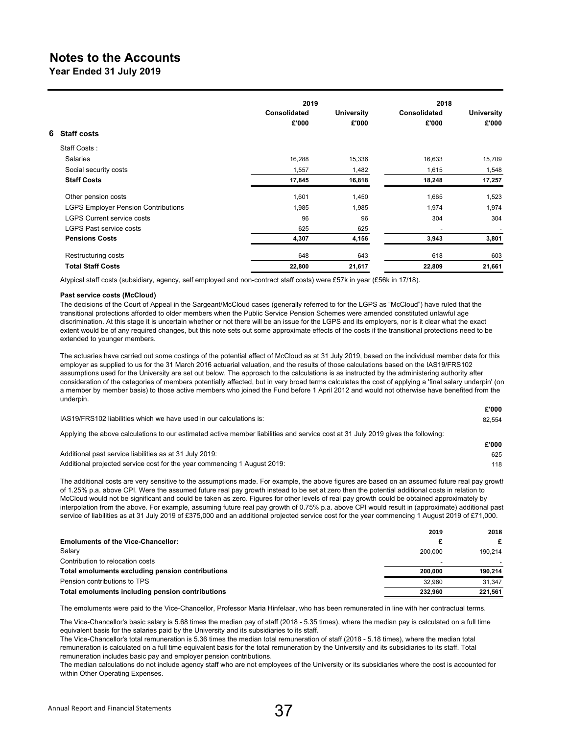**Year Ended 31 July 2019**

|                                            | 2019         |                   | 2018                     |                   |
|--------------------------------------------|--------------|-------------------|--------------------------|-------------------|
|                                            | Consolidated | <b>University</b> | <b>Consolidated</b>      | <b>University</b> |
|                                            | £'000        | £'000             | £'000                    | £'000             |
| 6 Staff costs                              |              |                   |                          |                   |
| Staff Costs:                               |              |                   |                          |                   |
| <b>Salaries</b>                            | 16,288       | 15,336            | 16,633                   | 15,709            |
| Social security costs                      | 1,557        | 1,482             | 1,615                    | 1,548             |
| <b>Staff Costs</b>                         | 17,845       | 16,818            | 18,248                   | 17,257            |
| Other pension costs                        | 1,601        | 1,450             | 1,665                    | 1,523             |
| <b>LGPS Employer Pension Contributions</b> | 1,985        | 1,985             | 1,974                    | 1,974             |
| <b>LGPS Current service costs</b>          | 96           | 96                | 304                      | 304               |
| LGPS Past service costs                    | 625          | 625               | $\overline{\phantom{a}}$ |                   |
| <b>Pensions Costs</b>                      | 4,307        | 4,156             | 3,943                    | 3,801             |
| Restructuring costs                        | 648          | 643               | 618                      | 603               |
| <b>Total Staff Costs</b>                   | 22,800       | 21,617            | 22,809                   | 21,661            |

Atypical staff costs (subsidiary, agency, self employed and non-contract staff costs) were £57k in year (£56k in 17/18).

### **Past service costs (McCloud)**

The decisions of the Court of Appeal in the Sargeant/McCloud cases (generally referred to for the LGPS as "McCloud") have ruled that the transitional protections afforded to older members when the Public Service Pension Schemes were amended constituted unlawful age discrimination. At this stage it is uncertain whether or not there will be an issue for the LGPS and its employers, nor is it clear what the exact extent would be of any required changes, but this note sets out some approximate effects of the costs if the transitional protections need to be extended to younger members.

The actuaries have carried out some costings of the potential effect of McCloud as at 31 July 2019, based on the individual member data for this employer as supplied to us for the 31 March 2016 actuarial valuation, and the results of those calculations based on the IAS19/FRS102 assumptions used for the University are set out below. The approach to the calculations is as instructed by the administering authority after consideration of the categories of members potentially affected, but in very broad terms calculates the cost of applying a 'final salary underpin' (on a member by member basis) to those active members who joined the Fund before 1 April 2012 and would not otherwise have benefited from the underpin.

**£'000**

|                                                                                                                                  | L UUU  |
|----------------------------------------------------------------------------------------------------------------------------------|--------|
| IAS19/FRS102 liabilities which we have used in our calculations is:                                                              | 82.554 |
|                                                                                                                                  |        |
| Applying the above calculations to our estimated active member liabilities and service cost at 31 July 2019 gives the following: |        |
|                                                                                                                                  | £'000  |
|                                                                                                                                  |        |

| Additional past service liabilities as at 31 July 2019:                  | 625 |
|--------------------------------------------------------------------------|-----|
| Additional projected service cost for the year commencing 1 August 2019: | 118 |

The additional costs are very sensitive to the assumptions made. For example, the above figures are based on an assumed future real pay growth of 1.25% p.a. above CPI. Were the assumed future real pay growth instead to be set at zero then the potential additional costs in relation to McCloud would not be significant and could be taken as zero. Figures for other levels of real pay growth could be obtained approximately by interpolation from the above. For example, assuming future real pay growth of 0.75% p.a. above CPI would result in (approximate) additional past service of liabilities as at 31 July 2019 of £375,000 and an additional projected service cost for the year commencing 1 August 2019 of £71,000.

|                                                  | 2019    | 2018    |
|--------------------------------------------------|---------|---------|
| <b>Emoluments of the Vice-Chancellor:</b>        |         | £       |
| Salary                                           | 200.000 | 190.214 |
| Contribution to relocation costs                 |         |         |
| Total emoluments excluding pension contributions | 200.000 | 190.214 |
| Pension contributions to TPS                     | 32.960  | 31,347  |
| Total emoluments including pension contributions | 232.960 | 221.561 |

The emoluments were paid to the Vice-Chancellor, Professor Maria Hinfelaar, who has been remunerated in line with her contractual terms.

The Vice-Chancellor's basic salary is 5.68 times the median pay of staff (2018 - 5.35 times), where the median pay is calculated on a full time equivalent basis for the salaries paid by the University and its subsidiaries to its staff.

The Vice-Chancellor's total remuneration is 5.36 times the median total remuneration of staff (2018 - 5.18 times), where the median total remuneration is calculated on a full time equivalent basis for the total remuneration by the University and its subsidiaries to its staff. Total remuneration includes basic pay and employer pension contributions.

The median calculations do not include agency staff who are not employees of the University or its subsidiaries where the cost is accounted for within Other Operating Expenses.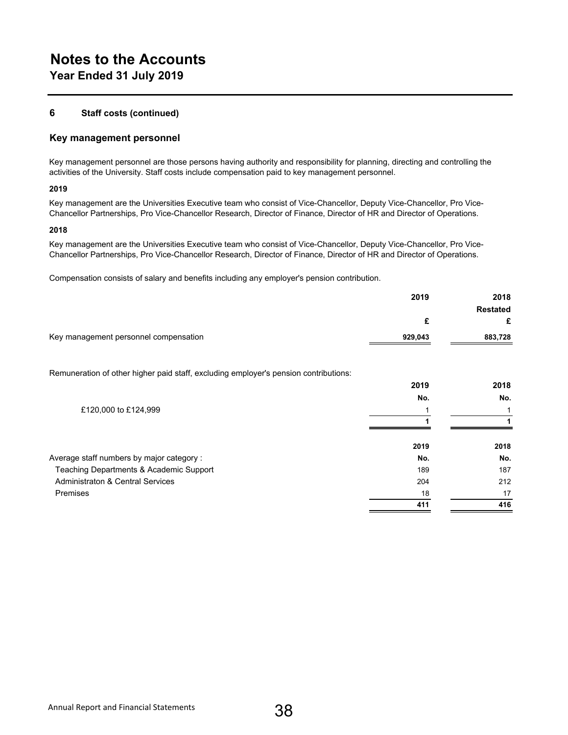## **Notes to the Accounts Year Ended 31 July 2019**

### **6 Staff costs (continued)**

### **Key management personnel**

Key management personnel are those persons having authority and responsibility for planning, directing and controlling the activities of the University. Staff costs include compensation paid to key management personnel.

### **2019**

Key management are the Universities Executive team who consist of Vice-Chancellor, Deputy Vice-Chancellor, Pro Vice-Chancellor Partnerships, Pro Vice-Chancellor Research, Director of Finance, Director of HR and Director of Operations.

### **2018**

Key management are the Universities Executive team who consist of Vice-Chancellor, Deputy Vice-Chancellor, Pro Vice-Chancellor Partnerships, Pro Vice-Chancellor Research, Director of Finance, Director of HR and Director of Operations.

Compensation consists of salary and benefits including any employer's pension contribution.

|                                       | 2019    | 2018     |
|---------------------------------------|---------|----------|
|                                       |         | Restated |
|                                       |         |          |
| Key management personnel compensation | 929,043 | 883,728  |

Remuneration of other higher paid staff, excluding employer's pension contributions:

|                                             | 2019 | 2018 |
|---------------------------------------------|------|------|
|                                             | No.  | No.  |
| £120,000 to £124,999                        |      |      |
|                                             |      |      |
|                                             | 2019 | 2018 |
| Average staff numbers by major category :   | No.  | No.  |
| Teaching Departments & Academic Support     | 189  | 187  |
| <b>Administraton &amp; Central Services</b> | 204  | 212  |
| <b>Premises</b>                             | 18   | 17   |
|                                             | 411  | 416  |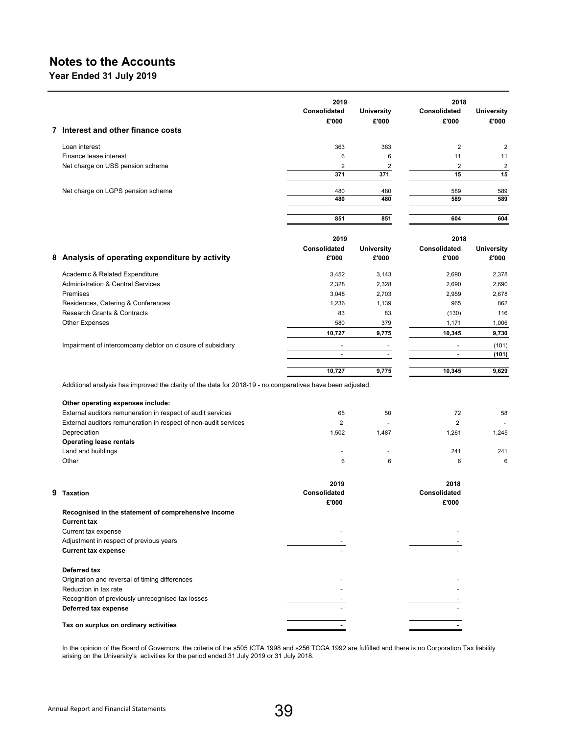**Year Ended 31 July 2019**

|   |                                                                                                            | 2019                             |                                                      | 2018                     |                   |
|---|------------------------------------------------------------------------------------------------------------|----------------------------------|------------------------------------------------------|--------------------------|-------------------|
|   |                                                                                                            | Consolidated                     | <b>University</b>                                    | Consolidated             | <b>University</b> |
|   |                                                                                                            | £'000                            | £'000                                                | £'000                    | £'000             |
|   | 7 Interest and other finance costs                                                                         |                                  |                                                      |                          |                   |
|   | Loan interest                                                                                              | 363                              | 363                                                  | $\overline{2}$           | $\overline{2}$    |
|   | Finance lease interest                                                                                     | 6                                | $\,6$                                                | 11                       | 11                |
|   | Net charge on USS pension scheme                                                                           | $\overline{2}$                   | $\overline{\mathbf{c}}$                              | $\overline{2}$           | $\overline{2}$    |
|   |                                                                                                            | 371                              | 371                                                  | 15                       | 15                |
|   | Net charge on LGPS pension scheme                                                                          | 480                              | 480                                                  | 589                      | 589               |
|   |                                                                                                            | 480                              | 480                                                  | 589                      | 589               |
|   |                                                                                                            | 851                              | 851                                                  | 604                      | 604               |
|   |                                                                                                            | 2019                             |                                                      | 2018                     |                   |
|   |                                                                                                            | Consolidated                     | <b>University</b>                                    | Consolidated             | <b>University</b> |
|   | 8 Analysis of operating expenditure by activity                                                            | £'000                            | £'000                                                | £'000                    | £'000             |
|   | Academic & Related Expenditure                                                                             | 3,452                            | 3,143                                                | 2,690                    | 2,378             |
|   | <b>Administration &amp; Central Services</b>                                                               | 2,328                            | 2,328                                                | 2,690                    | 2,690             |
|   | Premises                                                                                                   | 3,048                            | 2,703                                                | 2,959                    | 2,678             |
|   | Residences, Catering & Conferences                                                                         | 1,236                            | 1,139                                                | 965                      | 862               |
|   | Research Grants & Contracts                                                                                | 83                               | 83                                                   | (130)                    | 116               |
|   |                                                                                                            |                                  |                                                      |                          |                   |
|   | <b>Other Expenses</b>                                                                                      | 580<br>10,727                    | 379<br>9,775                                         | 1,171<br>10,345          | 1,006<br>9,730    |
|   |                                                                                                            |                                  |                                                      |                          |                   |
|   | Impairment of intercompany debtor on closure of subsidiary                                                 | $\blacksquare$<br>$\blacksquare$ | $\overline{\phantom{a}}$<br>$\overline{\phantom{a}}$ | $\blacksquare$<br>$\sim$ | (101)<br>(101)    |
|   |                                                                                                            |                                  |                                                      |                          |                   |
|   |                                                                                                            | 10,727                           | 9,775                                                | 10,345                   | 9,629             |
|   | Additional analysis has improved the clarity of the data for 2018-19 - no comparatives have been adjusted. |                                  |                                                      |                          |                   |
|   | Other operating expenses include:                                                                          |                                  |                                                      |                          |                   |
|   | External auditors remuneration in respect of audit services                                                | 65                               | 50                                                   | 72                       | 58                |
|   | External auditors remuneration in respect of non-audit services                                            | 2                                | $\blacksquare$                                       | 2                        |                   |
|   | Depreciation                                                                                               | 1,502                            | 1,487                                                | 1,261                    | 1,245             |
|   | <b>Operating lease rentals</b>                                                                             |                                  |                                                      |                          |                   |
|   | Land and buildings                                                                                         |                                  |                                                      | 241                      | 241               |
|   | Other                                                                                                      | 6                                | 6                                                    | 6                        | 6                 |
|   |                                                                                                            |                                  |                                                      |                          |                   |
|   |                                                                                                            | 2019                             |                                                      | 2018                     |                   |
| 9 | <b>Taxation</b>                                                                                            | Consolidated                     |                                                      | Consolidated             |                   |
|   |                                                                                                            | £'000                            |                                                      | £'000                    |                   |
|   | Recognised in the statement of comprehensive income                                                        |                                  |                                                      |                          |                   |
|   | <b>Current tax</b>                                                                                         |                                  |                                                      |                          |                   |
|   |                                                                                                            |                                  |                                                      |                          |                   |
|   | Current tax expense                                                                                        |                                  |                                                      |                          |                   |
|   | Adjustment in respect of previous years                                                                    |                                  |                                                      |                          |                   |
|   | <b>Current tax expense</b>                                                                                 |                                  |                                                      |                          |                   |
|   | Deferred tax                                                                                               |                                  |                                                      |                          |                   |
|   | Origination and reversal of timing differences                                                             |                                  |                                                      |                          |                   |
|   | Reduction in tax rate                                                                                      |                                  |                                                      |                          |                   |
|   | Recognition of previously unrecognised tax losses                                                          |                                  |                                                      |                          |                   |
|   | Deferred tax expense                                                                                       |                                  |                                                      |                          |                   |
|   |                                                                                                            |                                  |                                                      |                          |                   |
|   | Tax on surplus on ordinary activities                                                                      |                                  |                                                      |                          |                   |

In the opinion of the Board of Governors, the criteria of the s505 ICTA 1998 and s256 TCGA 1992 are fulfilled and there is no Corporation Tax liability arising on the University's activities for the period ended 31 July 2019 or 31 July 2018.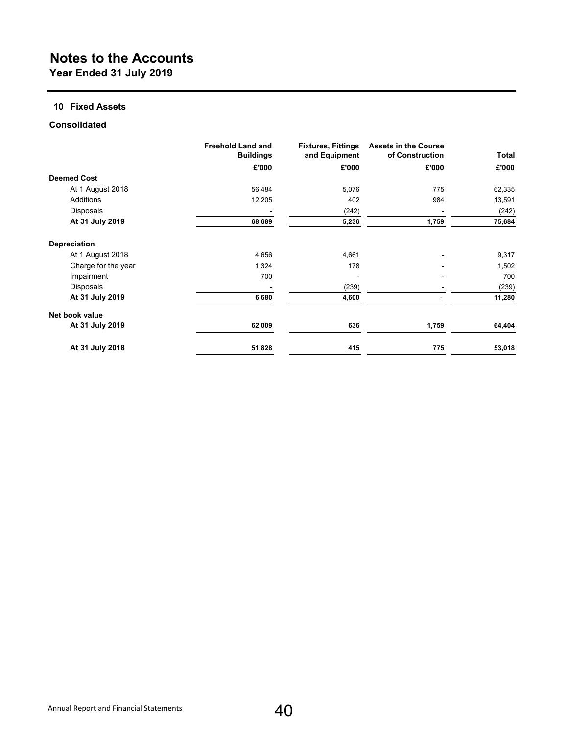**Year Ended 31 July 2019**

### **10 Fixed Assets**

## **Consolidated**

|                     | <b>Freehold Land and</b><br><b>Buildings</b> | <b>Fixtures, Fittings</b><br>and Equipment | <b>Assets in the Course</b><br>of Construction | Total  |
|---------------------|----------------------------------------------|--------------------------------------------|------------------------------------------------|--------|
|                     | £'000                                        | £'000                                      | £'000                                          | £'000  |
| <b>Deemed Cost</b>  |                                              |                                            |                                                |        |
| At 1 August 2018    | 56,484                                       | 5,076                                      | 775                                            | 62,335 |
| Additions           | 12,205                                       | 402                                        | 984                                            | 13,591 |
| <b>Disposals</b>    |                                              | (242)                                      |                                                | (242)  |
| At 31 July 2019     | 68,689                                       | 5,236                                      | 1,759                                          | 75,684 |
| <b>Depreciation</b> |                                              |                                            |                                                |        |
| At 1 August 2018    | 4,656                                        | 4,661                                      | $\overline{\phantom{a}}$                       | 9,317  |
| Charge for the year | 1,324                                        | 178                                        |                                                | 1,502  |
| Impairment          | 700                                          |                                            |                                                | 700    |
| Disposals           |                                              | (239)                                      |                                                | (239)  |
| At 31 July 2019     | 6,680                                        | 4,600                                      |                                                | 11,280 |
| Net book value      |                                              |                                            |                                                |        |
| At 31 July 2019     | 62,009                                       | 636                                        | 1,759                                          | 64,404 |
| At 31 July 2018     | 51,828                                       | 415                                        | 775                                            | 53,018 |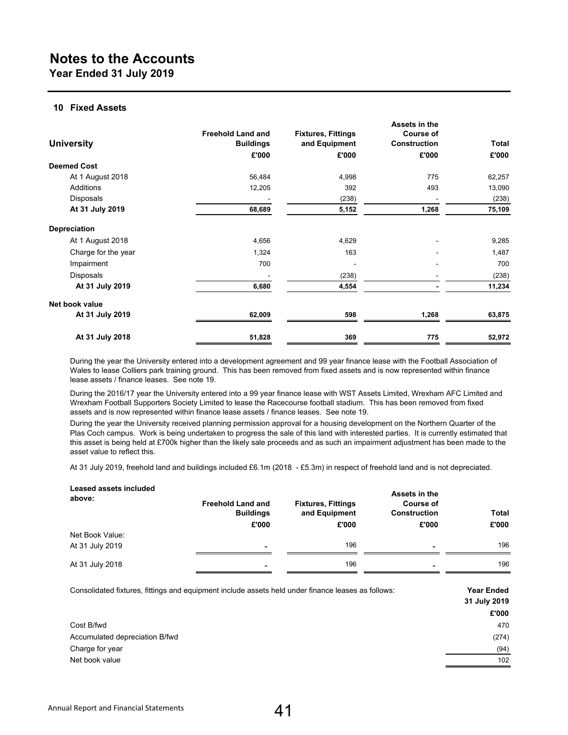**Year Ended 31 July 2019**

### **10 Fixed Assets**

|                     |                                              |                                            | Assets in the                           |              |
|---------------------|----------------------------------------------|--------------------------------------------|-----------------------------------------|--------------|
| <b>University</b>   | <b>Freehold Land and</b><br><b>Buildings</b> | <b>Fixtures, Fittings</b><br>and Equipment | <b>Course of</b><br><b>Construction</b> | <b>Total</b> |
|                     | £'000                                        | £'000                                      | £'000                                   | £'000        |
| <b>Deemed Cost</b>  |                                              |                                            |                                         |              |
| At 1 August 2018    | 56,484                                       | 4,998                                      | 775                                     | 62,257       |
| Additions           | 12,205                                       | 392                                        | 493                                     | 13,090       |
| Disposals           |                                              | (238)                                      |                                         | (238)        |
| At 31 July 2019     | 68,689                                       | 5,152                                      | 1,268                                   | 75,109       |
| Depreciation        |                                              |                                            |                                         |              |
| At 1 August 2018    | 4,656                                        | 4,629                                      |                                         | 9,285        |
| Charge for the year | 1,324                                        | 163                                        |                                         | 1,487        |
| Impairment          | 700                                          |                                            |                                         | 700          |
| <b>Disposals</b>    |                                              | (238)                                      |                                         | (238)        |
| At 31 July 2019     | 6,680                                        | 4,554                                      |                                         | 11,234       |
| Net book value      |                                              |                                            |                                         |              |
| At 31 July 2019     | 62,009                                       | 598                                        | 1,268                                   | 63,875       |
| At 31 July 2018     | 51,828                                       | 369                                        | 775                                     | 52,972       |

During the year the University entered into a development agreement and 99 year finance lease with the Football Association of Wales to lease Colliers park training ground. This has been removed from fixed assets and is now represented within finance lease assets / finance leases. See note 19.

During the 2016/17 year the University entered into a 99 year finance lease with WST Assets Limited, Wrexham AFC Limited and Wrexham Football Supporters Society Limited to lease the Racecourse football stadium. This has been removed from fixed assets and is now represented within finance lease assets / finance leases. See note 19.

During the year the University received planning permission approval for a housing development on the Northern Quarter of the Plas Coch campus. Work is being undertaken to progress the sale of this land with interested parties. It is currently estimated that this asset is being held at £700k higher than the likely sale proceeds and as such an impairment adjustment has been made to the asset value to reflect this.

At 31 July 2019, freehold land and buildings included £6.1m (2018 - £5.3m) in respect of freehold land and is not depreciated.

| <b>Leased assets included</b><br>above: | <b>Freehold Land and</b><br><b>Buildings</b><br>£'000 | <b>Fixtures, Fittings</b><br>and Equipment<br>£'000 | Assets in the<br><b>Course of</b><br><b>Construction</b><br>£'000 | Total<br>£'000 |
|-----------------------------------------|-------------------------------------------------------|-----------------------------------------------------|-------------------------------------------------------------------|----------------|
| Net Book Value:                         |                                                       |                                                     |                                                                   |                |
| At 31 July 2019                         | ۰                                                     | 196                                                 | -                                                                 | 196            |
| At 31 July 2018                         | -                                                     | 196                                                 | -                                                                 | 196            |

| Consolidated fixtures, fittings and equipment include assets held under finance leases as follows: |              |
|----------------------------------------------------------------------------------------------------|--------------|
|                                                                                                    | 31 July 2019 |
|                                                                                                    | £'000        |
| Cost B/fwd                                                                                         | 470          |
| Accumulated depreciation B/fwd                                                                     | (274)        |
| Charge for year                                                                                    | (94)         |
| Net book value                                                                                     | 102          |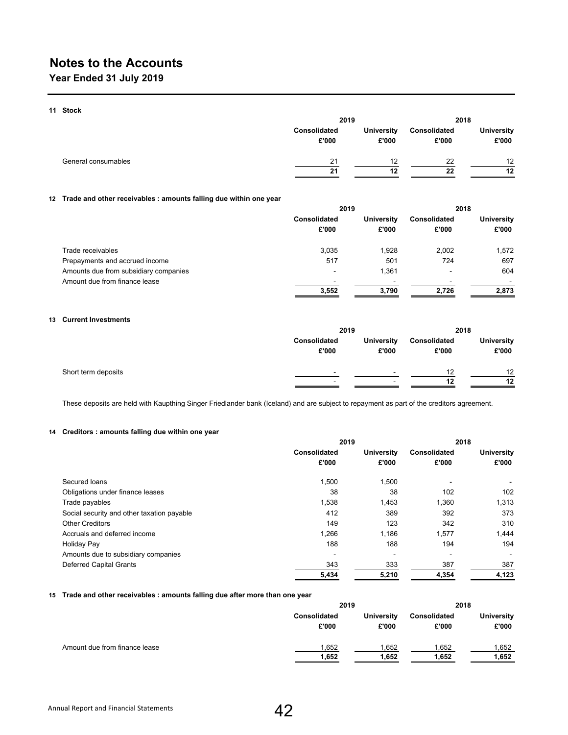## **Year Ended 31 July 2019**

**11 Stock**

|                     | 2019                  |                            | 2018                  |                            |
|---------------------|-----------------------|----------------------------|-----------------------|----------------------------|
|                     | Consolidated<br>£'000 | <b>University</b><br>£'000 | Consolidated<br>£'000 | <b>University</b><br>£'000 |
| General consumables | 21                    | 12                         | 22                    | 12                         |
|                     | 21                    | 12                         | 22                    | 12                         |

### **12 Trade and other receivables : amounts falling due within one year**

|                                       | 2019                  |                            | 2018                         |                     |
|---------------------------------------|-----------------------|----------------------------|------------------------------|---------------------|
|                                       | Consolidated<br>£'000 | <b>University</b><br>£'000 | <b>Consolidated</b><br>£'000 | University<br>£'000 |
| Trade receivables                     | 3.035                 | 1.928                      | 2.002                        | 1.572               |
| Prepayments and accrued income        | 517                   | 501                        | 724                          | 697                 |
| Amounts due from subsidiary companies | $\blacksquare$        | 1.361                      | $\blacksquare$               | 604                 |
| Amount due from finance lease         |                       |                            | -                            |                     |
|                                       | 3.552                 | 3.790                      | 2.726                        | 2.873               |

### **13 Current Investments**

|                       | 2019                       |                       | 2018                       |  |
|-----------------------|----------------------------|-----------------------|----------------------------|--|
| Consolidated<br>£'000 | <b>University</b><br>£'000 | Consolidated<br>£'000 | <b>University</b><br>£'000 |  |
| $\sim$                | -                          | 12<br>12              | 12<br>12                   |  |
|                       |                            |                       |                            |  |

These deposits are held with Kaupthing Singer Friedlander bank (Iceland) and are subject to repayment as part of the creditors agreement.

### **14 Creditors : amounts falling due within one year**

|                                            | 2019         |                   | 2018                |                   |  |
|--------------------------------------------|--------------|-------------------|---------------------|-------------------|--|
|                                            | Consolidated | <b>University</b> | <b>Consolidated</b> | <b>University</b> |  |
|                                            | £'000        | £'000             | £'000               | £'000             |  |
| Secured loans                              | 1,500        | 1,500             |                     |                   |  |
| Obligations under finance leases           | 38           | 38                | 102                 | 102               |  |
| Trade payables                             | 1,538        | 1,453             | 1,360               | 1,313             |  |
| Social security and other taxation payable | 412          | 389               | 392                 | 373               |  |
| <b>Other Creditors</b>                     | 149          | 123               | 342                 | 310               |  |
| Accruals and deferred income               | 1,266        | 1,186             | 1,577               | 1,444             |  |
| <b>Holiday Pay</b>                         | 188          | 188               | 194                 | 194               |  |
| Amounts due to subsidiary companies        |              |                   |                     |                   |  |
| <b>Deferred Capital Grants</b>             | 343          | 333               | 387                 | 387               |  |
|                                            | 5.434        | 5,210             | 4,354               | 4,123             |  |

### **15 Trade and other receivables : amounts falling due after more than one year**

|                               | 2019                |            | 2018         |                   |
|-------------------------------|---------------------|------------|--------------|-------------------|
|                               | <b>Consolidated</b> | University | Consolidated | <b>University</b> |
|                               | £'000               | £'000      | £'000        | £'000             |
| Amount due from finance lease | 1,652               | 1,652      | 1,652        | 1.652             |
|                               | 1,652               | 1,652      | 1,652        | 1.652             |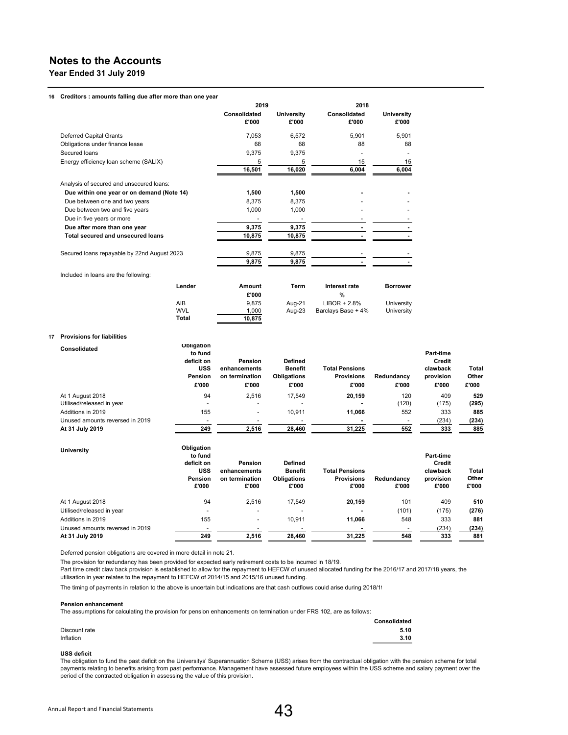**Year Ended 31 July 2019**

#### **16 Creditors : amounts falling due after more than one year**

|                                             | 2019                     |                            | 2018                  |                            |  |  |
|---------------------------------------------|--------------------------|----------------------------|-----------------------|----------------------------|--|--|
|                                             | Consolidated<br>£'000    | <b>University</b><br>£'000 | Consolidated<br>£'000 | <b>University</b><br>£'000 |  |  |
| Deferred Capital Grants                     | 7,053                    | 6,572                      | 5,901                 | 5,901                      |  |  |
| Obligations under finance lease             | 68                       | 68                         | 88                    | 88                         |  |  |
| Secured Ioans                               | 9,375                    | 9,375                      |                       |                            |  |  |
| Energy efficiency loan scheme (SALIX)       | 5                        | 5                          | 15                    | 15                         |  |  |
|                                             | 16,501                   | 16,020                     | 6,004                 | 6,004                      |  |  |
| Analysis of secured and unsecured loans:    |                          |                            |                       |                            |  |  |
| Due within one year or on demand (Note 14)  | 1,500                    | 1,500                      |                       |                            |  |  |
| Due between one and two years               | 8,375                    | 8,375                      |                       |                            |  |  |
| Due between two and five years              | 1,000                    | 1,000                      |                       |                            |  |  |
| Due in five years or more                   | $\overline{\phantom{a}}$ |                            |                       |                            |  |  |
| Due after more than one year                | 9,375                    | 9,375                      |                       |                            |  |  |
| Total secured and unsecured loans           | 10,875                   | 10,875                     |                       |                            |  |  |
| Secured loans repayable by 22nd August 2023 | 9,875                    | 9,875                      |                       |                            |  |  |
|                                             | 9,875                    | 9,875                      |                       |                            |  |  |
| Included in loans are the following:        |                          |                            |                       |                            |  |  |
| Lender                                      | Amount                   | Term                       | Interest rate         | <b>Borrower</b>            |  |  |
|                                             | £'000                    |                            | $\frac{9}{6}$         |                            |  |  |

**Total 10,875**

#### **17 Provisions for liabilities**

| <b>Consolidated</b>             | Obligation<br>to fund<br>deficit on<br>USS<br>Pension<br>£'000 | Pension<br>enhancements<br>on termination<br>£'000 | <b>Defined</b><br><b>Benefit</b><br><b>Obligations</b><br>£'000 | <b>Total Pensions</b><br><b>Provisions</b><br>£'000 | Redundancv<br>£'000 | Part-time<br>Credit<br>clawback<br>provision<br>£'000 | Total<br>Other<br>£'000 |
|---------------------------------|----------------------------------------------------------------|----------------------------------------------------|-----------------------------------------------------------------|-----------------------------------------------------|---------------------|-------------------------------------------------------|-------------------------|
| At 1 August 2018                | 94                                                             | 2.516                                              | 17.549                                                          | 20,159                                              | 120                 | 409                                                   | 529                     |
| Utilised/released in year       | $\overline{a}$                                                 |                                                    |                                                                 |                                                     | (120)               | (175)                                                 | (295)                   |
| Additions in 2019               | 155                                                            | -                                                  | 10.911                                                          | 11.066                                              | 552                 | 333                                                   | 885                     |
| Unused amounts reversed in 2019 |                                                                |                                                    |                                                                 |                                                     |                     | (234)                                                 | (234)                   |
| At 31 July 2019                 | 249                                                            | 2,516                                              | 28,460                                                          | 31,225                                              | 552                 | 333                                                   | 885                     |

AIB 9,875 Aug-21 University LIBOR + 2.8% WVL 1,000 Aug-23 University Barclays Base + 4%

| <b>University</b>               | Obligation<br>to fund<br>deficit on<br><b>USS</b><br>Pension<br>£'000 | Pension<br>enhancements<br>on termination<br>£'000 | <b>Defined</b><br><b>Benefit</b><br><b>Obligations</b><br>£'000 | <b>Total Pensions</b><br><b>Provisions</b><br>£'000 | Redundancv<br>£'000 | Part-time<br>Credit<br>clawback<br>provision<br>£'000 | Total<br>Other<br>£'000 |
|---------------------------------|-----------------------------------------------------------------------|----------------------------------------------------|-----------------------------------------------------------------|-----------------------------------------------------|---------------------|-------------------------------------------------------|-------------------------|
| At 1 August 2018                | 94                                                                    | 2.516                                              | 17.549                                                          | 20,159                                              | 101                 | 409                                                   | 510                     |
| Utilised/released in year       | $\overline{a}$                                                        | -                                                  |                                                                 | -                                                   | (101)               | (175)                                                 | (276)                   |
| Additions in 2019               | 155                                                                   | $\overline{\phantom{0}}$                           | 10.911                                                          | 11,066                                              | 548                 | 333                                                   | 881                     |
| Unused amounts reversed in 2019 |                                                                       |                                                    |                                                                 |                                                     |                     | (234)                                                 | (234)                   |
| At 31 July 2019                 | 249                                                                   | 2,516                                              | 28,460                                                          | 31,225                                              | 548                 | 333                                                   | 881                     |

Deferred pension obligations are covered in more detail in note 21.

The provision for redundancy has been provided for expected early retirement costs to be incurred in 18/19.

Part time credit claw back provision is established to allow for the repayment to HEFCW of unused allocated funding for the 2016/17 and 2017/18 years, the utilisation in year relates to the repayment to HEFCW of 2014/15 and 2015/16 unused funding.

The timing of payments in relation to the above is uncertain but indications are that cash outflows could arise during 2018/1!

#### **Pension enhancement**

The assumptions for calculating the provision for pension enhancements on termination under FRS 102, are as follows:

|               | Consolidated |
|---------------|--------------|
| Discount rate | 5.10         |
| Inflation     | 3.10         |

#### **USS deficit**

The obligation to fund the past deficit on the Universitys' Superannuation Scheme (USS) arises from the contractual obligation with the pension scheme for total payments relating to benefits arising from past performance. Management have assessed future employees within the USS scheme and salary payment over the period of the contracted obligation in assessing the value of this provision.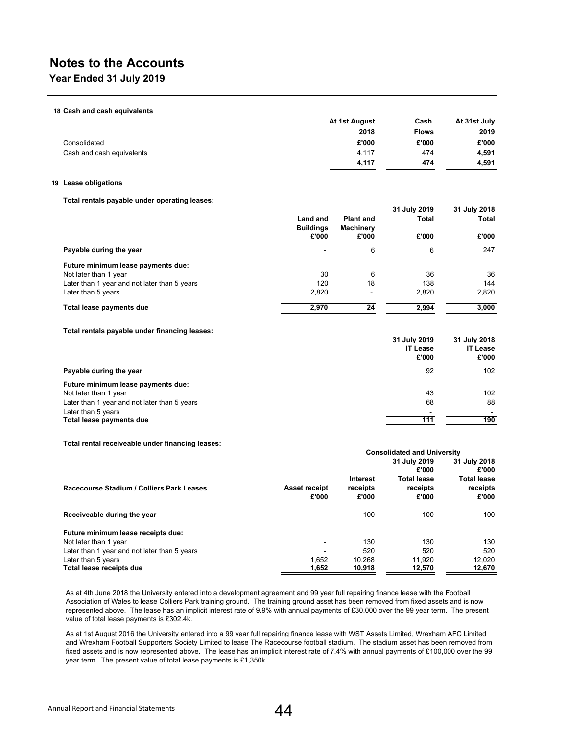### **18 Cash and cash equivalents**

|                           | At 1st August | Cash         | At 31st July |
|---------------------------|---------------|--------------|--------------|
|                           | 2018          | <b>Flows</b> | 2019         |
| Consolidated              | £'000         | £'000        | £'000        |
| Cash and cash equivalents | 4.117         | 474          | 4,591        |
|                           | 4.117         | 474          | 4,591        |

### **19 Lease obligations**

### **Total rentals payable under operating leases:**

|                                              | <b>Land and</b><br><b>Buildings</b><br>£'000 | <b>Plant and</b><br>Machinery<br>£'000 | 31 July 2019<br><b>Total</b><br>£'000 | 31 July 2018<br><b>Total</b><br>£'000 |
|----------------------------------------------|----------------------------------------------|----------------------------------------|---------------------------------------|---------------------------------------|
| Payable during the year                      | $\overline{\phantom{0}}$                     | 6                                      | 6                                     | 247                                   |
| Future minimum lease payments due:           |                                              |                                        |                                       |                                       |
| Not later than 1 year                        | 30                                           | 6                                      | 36                                    | 36                                    |
| Later than 1 year and not later than 5 years | 120                                          | 18                                     | 138                                   | 144                                   |
| Later than 5 years                           | 2,820                                        |                                        | 2,820                                 | 2,820                                 |
| Total lease payments due                     | 2.970                                        | 24                                     | 2,994                                 | 3,000                                 |

### **Total rentals payable under financing leases:**

|                                              | 31 July 2019<br><b>IT Lease</b><br>£'000 | 31 July 2018<br><b>IT Lease</b><br>£'000 |
|----------------------------------------------|------------------------------------------|------------------------------------------|
| Payable during the year                      | 92                                       | 102                                      |
| Future minimum lease payments due:           |                                          |                                          |
| Not later than 1 year                        | 43                                       | 102                                      |
| Later than 1 year and not later than 5 years | 68                                       | 88                                       |
| Later than 5 years                           | $\overline{\phantom{0}}$                 |                                          |
| Total lease payments due                     | 111                                      | 190                                      |

### **Total rental receiveable under financing leases:**

|                                              | <b>Consolidated and University</b> |                               |                                                                  |                                                                  |
|----------------------------------------------|------------------------------------|-------------------------------|------------------------------------------------------------------|------------------------------------------------------------------|
| Racecourse Stadium / Colliers Park Leases    | <b>Asset receipt</b><br>£'000      | Interest<br>receipts<br>£'000 | 31 July 2019<br>£'000<br><b>Total lease</b><br>receipts<br>£'000 | 31 July 2018<br>£'000<br><b>Total lease</b><br>receipts<br>£'000 |
| Receiveable during the year                  |                                    | 100                           | 100                                                              | 100                                                              |
| Future minimum lease receipts due:           |                                    |                               |                                                                  |                                                                  |
| Not later than 1 year                        |                                    | 130                           | 130                                                              | 130                                                              |
| Later than 1 year and not later than 5 years |                                    | 520                           | 520                                                              | 520                                                              |
| Later than 5 years                           | 1.652                              | 10.268                        | 11.920                                                           | 12,020                                                           |
| Total lease receipts due                     | 1,652                              | 10,918                        | 12,570                                                           | 12,670                                                           |

As at 4th June 2018 the University entered into a development agreement and 99 year full repairing finance lease with the Football Association of Wales to lease Colliers Park training ground. The training ground asset has been removed from fixed assets and is now represented above. The lease has an implicit interest rate of 9.9% with annual payments of £30,000 over the 99 year term. The present value of total lease payments is £302.4k.

As at 1st August 2016 the University entered into a 99 year full repairing finance lease with WST Assets Limited, Wrexham AFC Limited and Wrexham Football Supporters Society Limited to lease The Racecourse football stadium. The stadium asset has been removed from fixed assets and is now represented above. The lease has an implicit interest rate of 7.4% with annual payments of £100,000 over the 99 year term. The present value of total lease payments is £1,350k.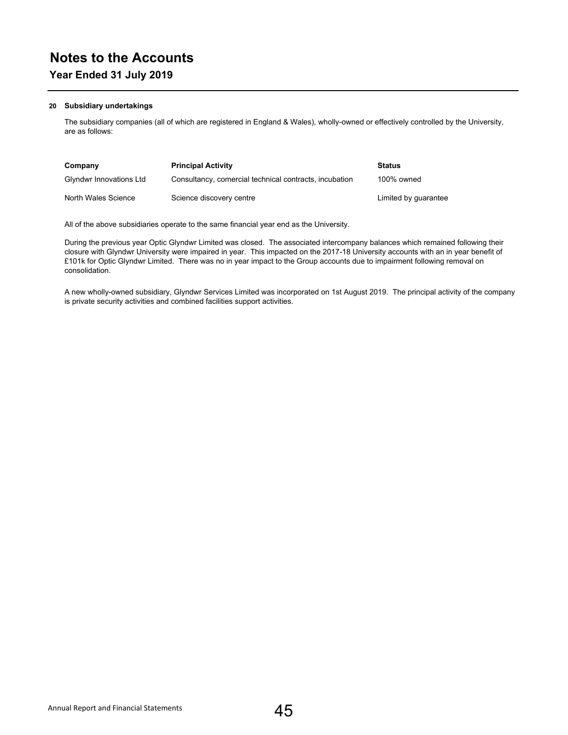## **Year Ended 31 July 2019**

### **20 Subsidiary undertakings**

The subsidiary companies (all of which are registered in England & Wales), wholly-owned or effectively controlled by the University, are as follows:

| Company                 | <b>Principal Activity</b>                              | <b>Status</b>        |
|-------------------------|--------------------------------------------------------|----------------------|
| Glyndwr Innovations Ltd | Consultancy, comercial technical contracts, incubation | 100% owned           |
| North Wales Science     | Science discovery centre                               | Limited by quarantee |

All of the above subsidiaries operate to the same financial year end as the University.

During the previous year Optic Glyndwr Limited was closed. The associated intercompany balances which remained following their closure with Glyndwr University were impaired in year. This impacted on the 2017-18 University accounts with an in year benefit of £101k for Optic Glyndwr Limited. There was no in year impact to the Group accounts due to impairment following removal on consolidation.

A new wholly-owned subsidiary, Glyndwr Services Limited was incorporated on 1st August 2019. The principal activity of the company is private security activities and combined facilities support activities.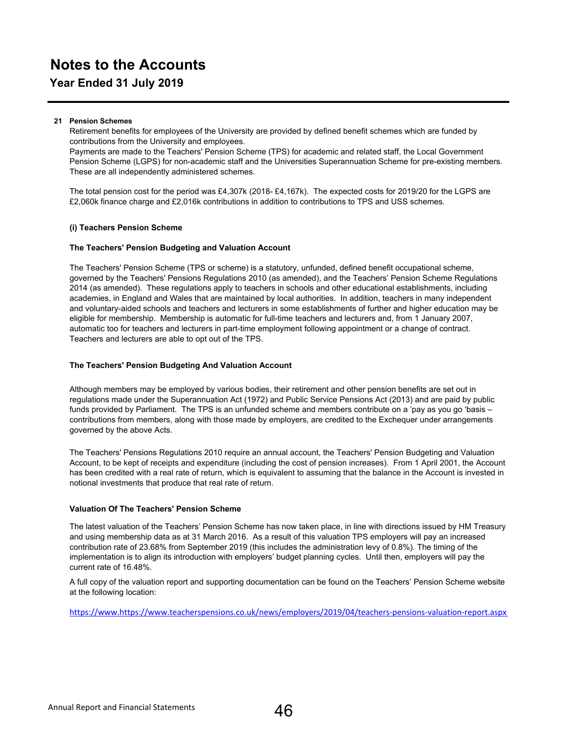**Year Ended 31 July 2019**

### **21 Pension Schemes**

Retirement benefits for employees of the University are provided by defined benefit schemes which are funded by contributions from the University and employees.

Payments are made to the Teachers' Pension Scheme (TPS) for academic and related staff, the Local Government Pension Scheme (LGPS) for non-academic staff and the Universities Superannuation Scheme for pre-existing members. These are all independently administered schemes.

The total pension cost for the period was £4,307k (2018- £4,167k). The expected costs for 2019/20 for the LGPS are £2,060k finance charge and £2,016k contributions in addition to contributions to TPS and USS schemes.

### **(i) Teachers Pension Scheme**

### **The Teachers' Pension Budgeting and Valuation Account**

The Teachers' Pension Scheme (TPS or scheme) is a statutory, unfunded, defined benefit occupational scheme, governed by the Teachers' Pensions Regulations 2010 (as amended), and the Teachers' Pension Scheme Regulations 2014 (as amended). These regulations apply to teachers in schools and other educational establishments, including academies, in England and Wales that are maintained by local authorities. In addition, teachers in many independent and voluntary-aided schools and teachers and lecturers in some establishments of further and higher education may be eligible for membership. Membership is automatic for full-time teachers and lecturers and, from 1 January 2007, automatic too for teachers and lecturers in part-time employment following appointment or a change of contract. Teachers and lecturers are able to opt out of the TPS.

### **The Teachers' Pension Budgeting And Valuation Account**

Although members may be employed by various bodies, their retirement and other pension benefits are set out in regulations made under the Superannuation Act (1972) and Public Service Pensions Act (2013) and are paid by public funds provided by Parliament. The TPS is an unfunded scheme and members contribute on a 'pay as you go 'basis – contributions from members, along with those made by employers, are credited to the Exchequer under arrangements governed by the above Acts.

The Teachers' Pensions Regulations 2010 require an annual account, the Teachers' Pension Budgeting and Valuation Account, to be kept of receipts and expenditure (including the cost of pension increases). From 1 April 2001, the Account has been credited with a real rate of return, which is equivalent to assuming that the balance in the Account is invested in notional investments that produce that real rate of return.

### **Valuation Of The Teachers' Pension Scheme**

The latest valuation of the Teachers' Pension Scheme has now taken place, in line with directions issued by HM Treasury and using membership data as at 31 March 2016. As a result of this valuation TPS employers will pay an increased contribution rate of 23.68% from September 2019 (this includes the administration levy of 0.8%). The timing of the implementation is to align its introduction with employers' budget planning cycles. Until then, employers will pay the current rate of 16.48%.

A full copy of the valuation report and supporting documentation can be found on the Teachers' Pension Scheme website at the following location:

https://www.https://www.teacherspensions.co.uk/news/employers/2019/04/teachers‐pensions‐valuation‐report.aspx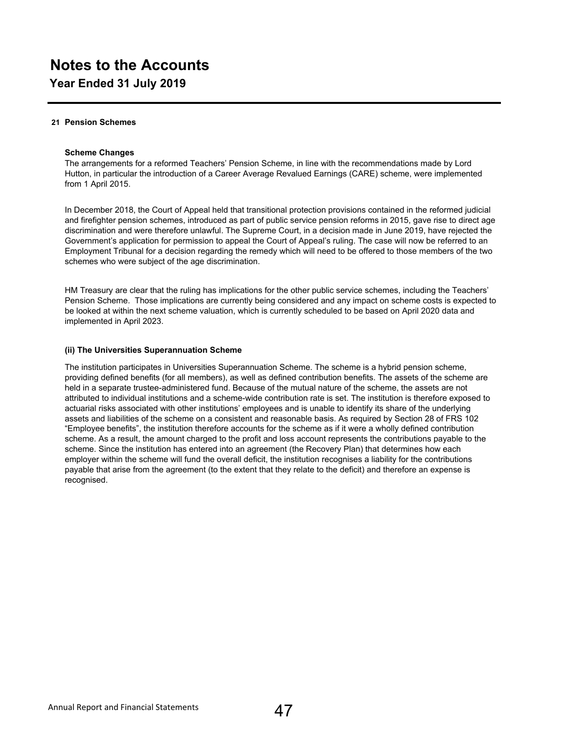**Year Ended 31 July 2019**

### **21 Pension Schemes**

### **Scheme Changes**

The arrangements for a reformed Teachers' Pension Scheme, in line with the recommendations made by Lord Hutton, in particular the introduction of a Career Average Revalued Earnings (CARE) scheme, were implemented from 1 April 2015.

In December 2018, the Court of Appeal held that transitional protection provisions contained in the reformed judicial and firefighter pension schemes, introduced as part of public service pension reforms in 2015, gave rise to direct age discrimination and were therefore unlawful. The Supreme Court, in a decision made in June 2019, have rejected the Government's application for permission to appeal the Court of Appeal's ruling. The case will now be referred to an Employment Tribunal for a decision regarding the remedy which will need to be offered to those members of the two schemes who were subject of the age discrimination.

HM Treasury are clear that the ruling has implications for the other public service schemes, including the Teachers' Pension Scheme. Those implications are currently being considered and any impact on scheme costs is expected to be looked at within the next scheme valuation, which is currently scheduled to be based on April 2020 data and implemented in April 2023.

### **(ii) The Universities Superannuation Scheme**

The institution participates in Universities Superannuation Scheme. The scheme is a hybrid pension scheme, providing defined benefits (for all members), as well as defined contribution benefits. The assets of the scheme are held in a separate trustee-administered fund. Because of the mutual nature of the scheme, the assets are not attributed to individual institutions and a scheme-wide contribution rate is set. The institution is therefore exposed to actuarial risks associated with other institutions' employees and is unable to identify its share of the underlying assets and liabilities of the scheme on a consistent and reasonable basis. As required by Section 28 of FRS 102 "Employee benefits", the institution therefore accounts for the scheme as if it were a wholly defined contribution scheme. As a result, the amount charged to the profit and loss account represents the contributions payable to the scheme. Since the institution has entered into an agreement (the Recovery Plan) that determines how each employer within the scheme will fund the overall deficit, the institution recognises a liability for the contributions payable that arise from the agreement (to the extent that they relate to the deficit) and therefore an expense is recognised.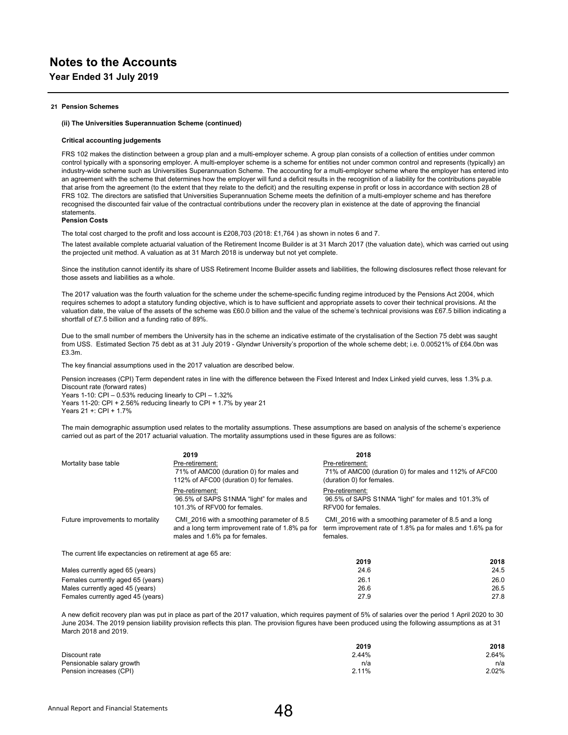**Year Ended 31 July 2019**

### **21 Pension Schemes**

#### **(ii) The Universities Superannuation Scheme (continued)**

#### **Critical accounting judgements**

FRS 102 makes the distinction between a group plan and a multi-employer scheme. A group plan consists of a collection of entities under common control typically with a sponsoring employer. A multi-employer scheme is a scheme for entities not under common control and represents (typically) an industry-wide scheme such as Universities Superannuation Scheme. The accounting for a multi-employer scheme where the employer has entered into an agreement with the scheme that determines how the employer will fund a deficit results in the recognition of a liability for the contributions payable that arise from the agreement (to the extent that they relate to the deficit) and the resulting expense in profit or loss in accordance with section 28 of FRS 102. The directors are satisfied that Universities Superannuation Scheme meets the definition of a multi-employer scheme and has therefore recognised the discounted fair value of the contractual contributions under the recovery plan in existence at the date of approving the financial statements.

### **Pension Costs**

The total cost charged to the profit and loss account is £208,703 (2018: £1,764 ) as shown in notes 6 and 7.

The latest available complete actuarial valuation of the Retirement Income Builder is at 31 March 2017 (the valuation date), which was carried out using the projected unit method. A valuation as at 31 March 2018 is underway but not yet complete.

Since the institution cannot identify its share of USS Retirement Income Builder assets and liabilities, the following disclosures reflect those relevant for those assets and liabilities as a whole.

The 2017 valuation was the fourth valuation for the scheme under the scheme-specific funding regime introduced by the Pensions Act 2004, which requires schemes to adopt a statutory funding objective, which is to have sufficient and appropriate assets to cover their technical provisions. At the valuation date, the value of the assets of the scheme was £60.0 billion and the value of the scheme's technical provisions was £67.5 billion indicating a shortfall of £7.5 billion and a funding ratio of 89%.

Due to the small number of members the University has in the scheme an indicative estimate of the crystalisation of the Section 75 debt was saught from USS. Estimated Section 75 debt as at 31 July 2019 - Glyndwr University's proportion of the whole scheme debt; i.e. 0.00521% of £64.0bn was £3.3m.

The key financial assumptions used in the 2017 valuation are described below.

Pension increases (CPI) Term dependent rates in line with the difference between the Fixed Interest and Index Linked yield curves, less 1.3% p.a.

Discount rate (forward rates) Years 1-10: CPI – 0.53% reducing linearly to CPI – 1.32% Years 11-20: CPI + 2.56% reducing linearly to CPI + 1.7% by year 21 Years 21 +: CPI + 1.7%

The main demographic assumption used relates to the mortality assumptions. These assumptions are based on analysis of the scheme's experience carried out as part of the 2017 actuarial valuation. The mortality assumptions used in these figures are as follows:

|                                                            | 2019                                                                                                                            | 2018                                                                                                                            |
|------------------------------------------------------------|---------------------------------------------------------------------------------------------------------------------------------|---------------------------------------------------------------------------------------------------------------------------------|
| Mortality base table                                       | Pre-retirement:<br>71% of AMC00 (duration 0) for males and<br>112% of AFC00 (duration 0) for females.                           | Pre-retirement:<br>71% of AMC00 (duration 0) for males and 112% of AFC00<br>(duration 0) for females.                           |
|                                                            | Pre-retirement:<br>96.5% of SAPS S1NMA "light" for males and<br>101.3% of RFV00 for females.                                    | Pre-retirement:<br>96.5% of SAPS S1NMA "light" for males and 101.3% of<br>RFV00 for females.                                    |
| Future improvements to mortality                           | CMI 2016 with a smoothing parameter of 8.5<br>and a long term improvement rate of 1.8% pa for<br>males and 1.6% pa for females. | CMI 2016 with a smoothing parameter of 8.5 and a long<br>term improvement rate of 1.8% pa for males and 1.6% pa for<br>females. |
| The current life expectancies on retirement at age 65 are: |                                                                                                                                 |                                                                                                                                 |

|                                   | 2019 | 2018 |
|-----------------------------------|------|------|
| Males currently aged 65 (years)   | 24.6 | 24.5 |
| Females currently aged 65 (years) | 26.1 | 26.0 |
| Males currently aged 45 (years)   | 26.6 | 26.5 |
| Females currently aged 45 (years) | 27.9 | 27.8 |

A new deficit recovery plan was put in place as part of the 2017 valuation, which requires payment of 5% of salaries over the period 1 April 2020 to 30 June 2034. The 2019 pension liability provision reflects this plan. The provision figures have been produced using the following assumptions as at 31 March 2018 and 2019.

|                           | 2019  | 2018  |
|---------------------------|-------|-------|
| Discount rate             | 2.44% | 2.64% |
| Pensionable salary growth | n/a   | n/a   |
| Pension increases (CPI)   | 2.11% | 2.02% |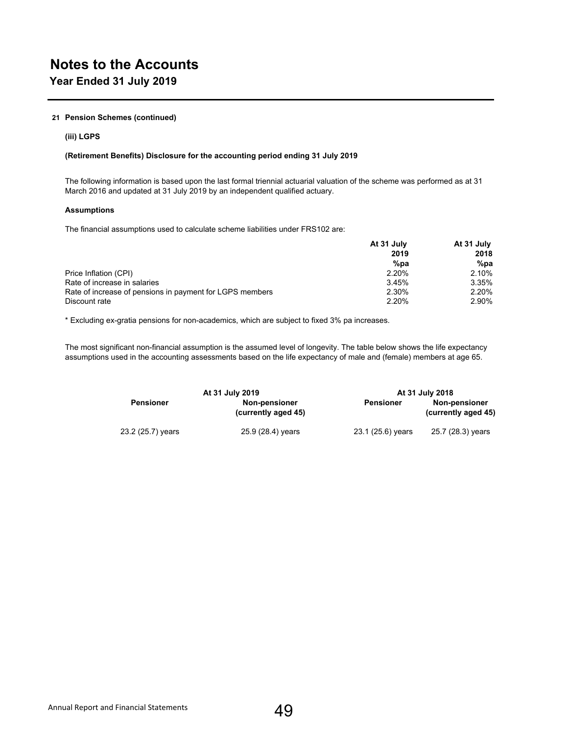### **21 Pension Schemes (continued)**

### **(iii) LGPS**

### **(Retirement Benefits) Disclosure for the accounting period ending 31 July 2019**

The following information is based upon the last formal triennial actuarial valuation of the scheme was performed as at 31 March 2016 and updated at 31 July 2019 by an independent qualified actuary.

### **Assumptions**

The financial assumptions used to calculate scheme liabilities under FRS102 are:

|                                                          | At 31 July  | At 31 July |
|----------------------------------------------------------|-------------|------------|
|                                                          | 2019<br>%pa | 2018       |
|                                                          |             | %pa        |
| Price Inflation (CPI)                                    | 2.20%       | 2.10%      |
| Rate of increase in salaries                             | 3.45%       | 3.35%      |
| Rate of increase of pensions in payment for LGPS members | 2.30%       | 2.20%      |
| Discount rate                                            | 2.20%       | 2.90%      |

\* Excluding ex-gratia pensions for non-academics, which are subject to fixed 3% pa increases.

The most significant non-financial assumption is the assumed level of longevity. The table below shows the life expectancy assumptions used in the accounting assessments based on the life expectancy of male and (female) members at age 65.

| At 31 July 2019   |                                             |                   | At 31 July 2018                      |
|-------------------|---------------------------------------------|-------------------|--------------------------------------|
| <b>Pensioner</b>  | <b>Non-pensioner</b><br>(currently aged 45) | <b>Pensioner</b>  | Non-pensioner<br>(currently aged 45) |
| 23.2 (25.7) years | 25.9 (28.4) years                           | 23.1 (25.6) years | 25.7 (28.3) years                    |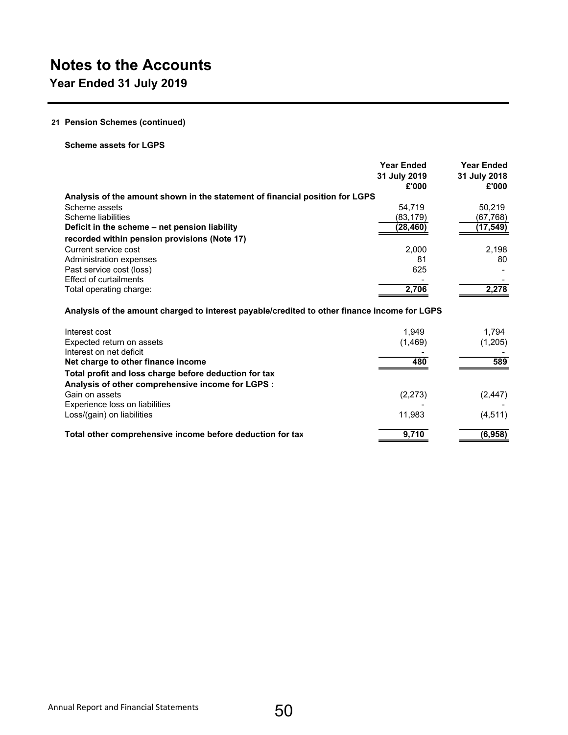**Year Ended 31 July 2019**

## **21 Pension Schemes (continued)**

**Scheme assets for LGPS**

|                                                                                              | <b>Year Ended</b><br>31 July 2019<br>£'000 | <b>Year Ended</b><br>31 July 2018<br>£'000 |
|----------------------------------------------------------------------------------------------|--------------------------------------------|--------------------------------------------|
| Analysis of the amount shown in the statement of financial position for LGPS                 |                                            |                                            |
| Scheme assets                                                                                | 54.719                                     | 50.219                                     |
| Scheme liabilities                                                                           | (83, 179)                                  | (67,768)                                   |
| Deficit in the scheme – net pension liability                                                | (28, 460)                                  | (17,549)                                   |
| recorded within pension provisions (Note 17)                                                 |                                            |                                            |
| Current service cost                                                                         | 2.000                                      | 2,198                                      |
| Administration expenses                                                                      | 81                                         | 80                                         |
| Past service cost (loss)                                                                     | 625                                        |                                            |
| <b>Effect of curtailments</b>                                                                |                                            |                                            |
| Total operating charge:                                                                      | 2.706                                      | 2.278                                      |
| Analysis of the amount charged to interest payable/credited to other finance income for LGPS |                                            |                                            |

**Analysis of the amount charged to interest payable/credited to other finance income for LGPS**

| Interest cost<br>Expected return on assets                                                                 | 1.949<br>(1,469) | 1.794<br>(1,205) |
|------------------------------------------------------------------------------------------------------------|------------------|------------------|
| Interest on net deficit<br>Net charge to other finance income                                              | 480              | 589              |
| Total profit and loss charge before deduction for tax<br>Analysis of other comprehensive income for LGPS : |                  |                  |
| Gain on assets                                                                                             | (2,273)          | (2, 447)         |
| Experience loss on liabilities                                                                             |                  |                  |
| Loss/(gain) on liabilities                                                                                 | 11.983           | (4, 511)         |
| Total other comprehensive income before deduction for tax                                                  | 9,710            | (6,958)          |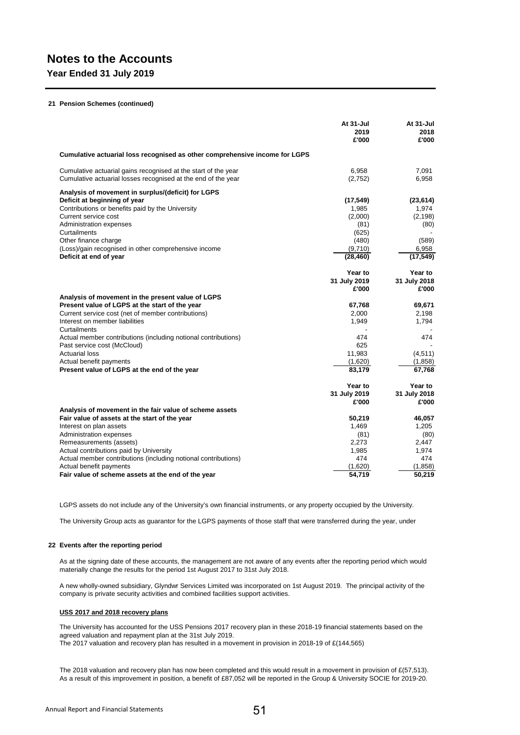**Year Ended 31 July 2019**

### **21 Pension Schemes (continued)**

|                                                                                                                                                                                                                                                                                                                                       | At 31-Jul<br>2019<br>£'000                                                      | At 31-Jul<br>2018<br>£'000                                            |
|---------------------------------------------------------------------------------------------------------------------------------------------------------------------------------------------------------------------------------------------------------------------------------------------------------------------------------------|---------------------------------------------------------------------------------|-----------------------------------------------------------------------|
| Cumulative actuarial loss recognised as other comprehensive income for LGPS                                                                                                                                                                                                                                                           |                                                                                 |                                                                       |
| Cumulative actuarial gains recognised at the start of the year<br>Cumulative actuarial losses recognised at the end of the year                                                                                                                                                                                                       | 6,958<br>(2,752)                                                                | 7,091<br>6,958                                                        |
| Analysis of movement in surplus/(deficit) for LGPS<br>Deficit at beginning of year<br>Contributions or benefits paid by the University<br>Current service cost<br>Administration expenses<br>Curtailments<br>Other finance charge<br>(Loss)/gain recognised in other comprehensive income<br>Deficit at end of year                   | (17, 549)<br>1,985<br>(2,000)<br>(81)<br>(625)<br>(480)<br>(9,710)<br>(28, 460) | (23, 614)<br>1,974<br>(2, 198)<br>(80)<br>(589)<br>6,958<br>(17, 549) |
|                                                                                                                                                                                                                                                                                                                                       | Year to<br>31 July 2019<br>£'000                                                | Year to<br>31 July 2018<br>£'000                                      |
| Analysis of movement in the present value of LGPS<br>Present value of LGPS at the start of the year<br>Current service cost (net of member contributions)<br>Interest on member liabilities<br>Curtailments<br>Actual member contributions (including notional contributions)<br>Past service cost (McCloud)<br><b>Actuarial loss</b> | 67,768<br>2,000<br>1,949<br>474<br>625<br>11,983                                | 69,671<br>2,198<br>1,794<br>474<br>(4,511)                            |
| Actual benefit payments<br>Present value of LGPS at the end of the year                                                                                                                                                                                                                                                               | (1,620)<br>83,179                                                               | (1,858)<br>67,768                                                     |
|                                                                                                                                                                                                                                                                                                                                       | Year to<br>31 July 2019<br>£'000                                                | Year to<br>31 July 2018<br>£'000                                      |
| Analysis of movement in the fair value of scheme assets<br>Fair value of assets at the start of the year<br>Interest on plan assets<br>Administration expenses<br>Remeasurements (assets)<br>Actual contributions paid by University<br>Actual member contributions (including notional contributions)<br>Actual benefit payments     | 50,219<br>1,469<br>(81)<br>2,273<br>1,985<br>474<br>(1,620)                     | 46,057<br>1,205<br>(80)<br>2,447<br>1,974<br>474<br>(1, 858)          |
| Fair value of scheme assets at the end of the year                                                                                                                                                                                                                                                                                    | 54,719                                                                          | 50,219                                                                |

LGPS assets do not include any of the University's own financial instruments, or any property occupied by the University.

The University Group acts as guarantor for the LGPS payments of those staff that were transferred during the year, under

### **22 Events after the reporting period**

As at the signing date of these accounts, the management are not aware of any events after the reporting period which would materially change the results for the period 1st August 2017 to 31st July 2018.

A new wholly-owned subsidiary, Glyndwr Services Limited was incorporated on 1st August 2019. The principal activity of the company is private security activities and combined facilities support activities.

### **USS 2017 and 2018 recovery plans**

The University has accounted for the USS Pensions 2017 recovery plan in these 2018-19 financial statements based on the agreed valuation and repayment plan at the 31st July 2019. The 2017 valuation and recovery plan has resulted in a movement in provision in 2018-19 of £(144,565)

The 2018 valuation and recovery plan has now been completed and this would result in a movement in provision of £(57,513). As a result of this improvement in position, a benefit of £87,052 will be reported in the Group & University SOCIE for 2019-20.